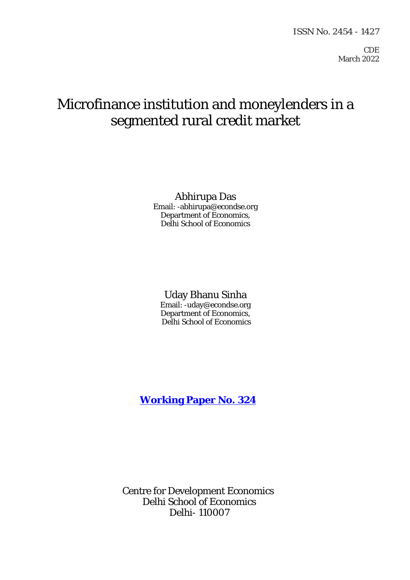CDE March 2022

# Microfinance institution and moneylenders in a segmented rural credit market

Abhirupa Das Email: -abhirupa@econdse.org Department of Economics, Delhi School of Economics

## Uday Bhanu Sinha

Email: -uday@econdse.org Department of Economics, Delhi School of Economics

**[Working Paper No. 324](http://www.cdedse.org/pdf/work324.pdf)**

Centre for Development Economics Delhi School of Economics Delhi- 110007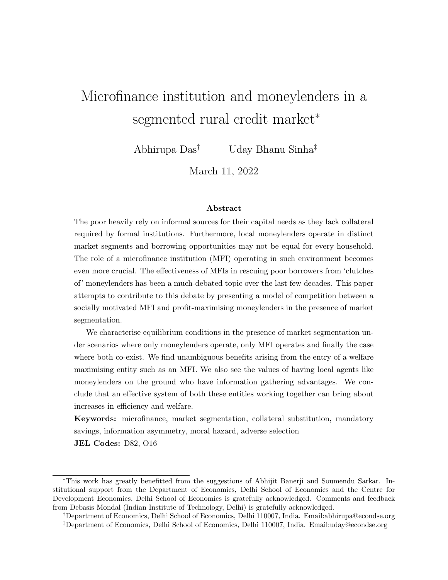# Microfinance institution and moneylenders in a segmented rural credit market<sup>\*</sup>

Abhirupa Das† Uday Bhanu Sinha‡

March 11, 2022

#### Abstract

The poor heavily rely on informal sources for their capital needs as they lack collateral required by formal institutions. Furthermore, local moneylenders operate in distinct market segments and borrowing opportunities may not be equal for every household. The role of a microfinance institution (MFI) operating in such environment becomes even more crucial. The effectiveness of MFIs in rescuing poor borrowers from 'clutches of' moneylenders has been a much-debated topic over the last few decades. This paper attempts to contribute to this debate by presenting a model of competition between a socially motivated MFI and profit-maximising moneylenders in the presence of market segmentation.

We characterise equilibrium conditions in the presence of market segmentation under scenarios where only moneylenders operate, only MFI operates and finally the case where both co-exist. We find unambiguous benefits arising from the entry of a welfare maximising entity such as an MFI. We also see the values of having local agents like moneylenders on the ground who have information gathering advantages. We conclude that an effective system of both these entities working together can bring about increases in efficiency and welfare.

Keywords: microfinance, market segmentation, collateral substitution, mandatory savings, information asymmetry, moral hazard, adverse selection

JEL Codes: D82, O16

<sup>∗</sup>This work has greatly benefitted from the suggestions of Abhijit Banerji and Soumendu Sarkar. Institutional support from the Department of Economics, Delhi School of Economics and the Centre for Development Economics, Delhi School of Economics is gratefully acknowledged. Comments and feedback from Debasis Mondal (Indian Institute of Technology, Delhi) is gratefully acknowledged.

<sup>†</sup>Department of Economics, Delhi School of Economics, Delhi 110007, India. Email:abhirupa@econdse.org ‡Department of Economics, Delhi School of Economics, Delhi 110007, India. Email:uday@econdse.org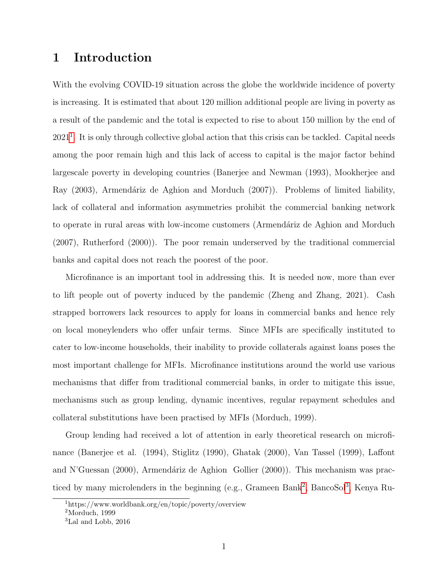## 1 Introduction

With the evolving COVID-19 situation across the globe the worldwide incidence of poverty is increasing. It is estimated that about 120 million additional people are living in poverty as a result of the pandemic and the total is expected to rise to about 150 million by the end of 202[1](#page-2-0)<sup>1</sup>. It is only through collective global action that this crisis can be tackled. Capital needs among the poor remain high and this lack of access to capital is the major factor behind largescale poverty in developing countries (Banerjee and Newman (1993), Mookherjee and Ray  $(2003)$ , Armendáriz de Aghion and Morduch  $(2007)$ ). Problems of limited liability, lack of collateral and information asymmetries prohibit the commercial banking network to operate in rural areas with low-income customers (Armendáriz de Aghion and Morduch (2007), Rutherford (2000)). The poor remain underserved by the traditional commercial banks and capital does not reach the poorest of the poor.

Microfinance is an important tool in addressing this. It is needed now, more than ever to lift people out of poverty induced by the pandemic (Zheng and Zhang, 2021). Cash strapped borrowers lack resources to apply for loans in commercial banks and hence rely on local moneylenders who offer unfair terms. Since MFIs are specifically instituted to cater to low-income households, their inability to provide collaterals against loans poses the most important challenge for MFIs. Microfinance institutions around the world use various mechanisms that differ from traditional commercial banks, in order to mitigate this issue, mechanisms such as group lending, dynamic incentives, regular repayment schedules and collateral substitutions have been practised by MFIs (Morduch, 1999).

Group lending had received a lot of attention in early theoretical research on microfinance (Banerjee et al. (1994), Stiglitz (1990), Ghatak (2000), Van Tassel (1999), Laffont and N'Guessan (2000), Armendáriz de Aghion Gollier (2000)). This mechanism was prac-ticed by many microlenders in the beginning (e.g., Grameen Bank<sup>[2](#page-2-1)</sup>, BancoSol<sup>[3](#page-2-2)</sup>, Kenya Ru-

<span id="page-2-0"></span><sup>1</sup>https://www.worldbank.org/en/topic/poverty/overview

<span id="page-2-1"></span><sup>2</sup>Morduch, 1999

<span id="page-2-2"></span><sup>3</sup>Lal and Lobb, 2016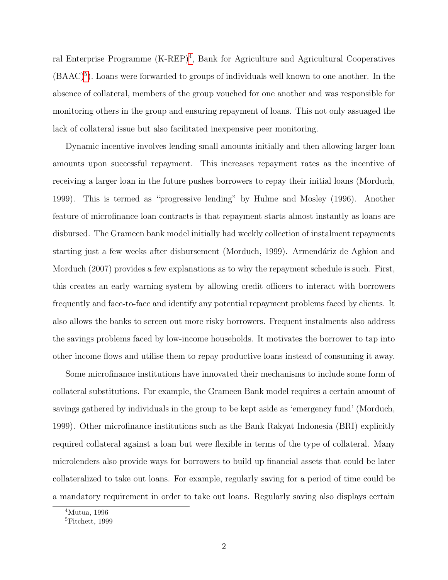ral Enterprise Programme (K-REP)<sup>[4](#page-3-0)</sup>, Bank for Agriculture and Agricultural Cooperatives  $(BAAC)^5$  $(BAAC)^5$ ). Loans were forwarded to groups of individuals well known to one another. In the absence of collateral, members of the group vouched for one another and was responsible for monitoring others in the group and ensuring repayment of loans. This not only assuaged the lack of collateral issue but also facilitated inexpensive peer monitoring.

Dynamic incentive involves lending small amounts initially and then allowing larger loan amounts upon successful repayment. This increases repayment rates as the incentive of receiving a larger loan in the future pushes borrowers to repay their initial loans (Morduch, 1999). This is termed as "progressive lending" by Hulme and Mosley (1996). Another feature of microfinance loan contracts is that repayment starts almost instantly as loans are disbursed. The Grameen bank model initially had weekly collection of instalment repayments starting just a few weeks after disbursement (Morduch, 1999). Armendáriz de Aghion and Morduch (2007) provides a few explanations as to why the repayment schedule is such. First, this creates an early warning system by allowing credit officers to interact with borrowers frequently and face-to-face and identify any potential repayment problems faced by clients. It also allows the banks to screen out more risky borrowers. Frequent instalments also address the savings problems faced by low-income households. It motivates the borrower to tap into other income flows and utilise them to repay productive loans instead of consuming it away.

Some microfinance institutions have innovated their mechanisms to include some form of collateral substitutions. For example, the Grameen Bank model requires a certain amount of savings gathered by individuals in the group to be kept aside as 'emergency fund' (Morduch, 1999). Other microfinance institutions such as the Bank Rakyat Indonesia (BRI) explicitly required collateral against a loan but were flexible in terms of the type of collateral. Many microlenders also provide ways for borrowers to build up financial assets that could be later collateralized to take out loans. For example, regularly saving for a period of time could be a mandatory requirement in order to take out loans. Regularly saving also displays certain

<span id="page-3-0"></span><sup>4</sup>Mutua, 1996

<span id="page-3-1"></span><sup>5</sup>Fitchett, 1999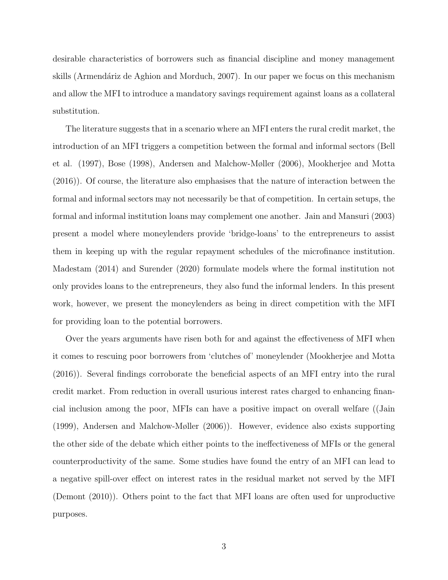desirable characteristics of borrowers such as financial discipline and money management skills (Armendáriz de Aghion and Morduch, 2007). In our paper we focus on this mechanism and allow the MFI to introduce a mandatory savings requirement against loans as a collateral substitution.

The literature suggests that in a scenario where an MFI enters the rural credit market, the introduction of an MFI triggers a competition between the formal and informal sectors (Bell et al. (1997), Bose (1998), Andersen and Malchow-Møller (2006), Mookherjee and Motta (2016)). Of course, the literature also emphasises that the nature of interaction between the formal and informal sectors may not necessarily be that of competition. In certain setups, the formal and informal institution loans may complement one another. Jain and Mansuri (2003) present a model where moneylenders provide 'bridge-loans' to the entrepreneurs to assist them in keeping up with the regular repayment schedules of the microfinance institution. Madestam (2014) and Surender (2020) formulate models where the formal institution not only provides loans to the entrepreneurs, they also fund the informal lenders. In this present work, however, we present the moneylenders as being in direct competition with the MFI for providing loan to the potential borrowers.

Over the years arguments have risen both for and against the effectiveness of MFI when it comes to rescuing poor borrowers from 'clutches of' moneylender (Mookherjee and Motta (2016)). Several findings corroborate the beneficial aspects of an MFI entry into the rural credit market. From reduction in overall usurious interest rates charged to enhancing financial inclusion among the poor, MFIs can have a positive impact on overall welfare ((Jain (1999), Andersen and Malchow-Møller (2006)). However, evidence also exists supporting the other side of the debate which either points to the ineffectiveness of MFIs or the general counterproductivity of the same. Some studies have found the entry of an MFI can lead to a negative spill-over effect on interest rates in the residual market not served by the MFI (Demont (2010)). Others point to the fact that MFI loans are often used for unproductive purposes.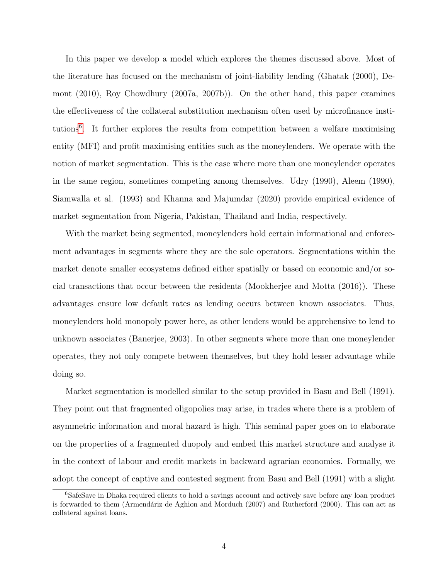In this paper we develop a model which explores the themes discussed above. Most of the literature has focused on the mechanism of joint-liability lending (Ghatak (2000), Demont (2010), Roy Chowdhury (2007a, 2007b)). On the other hand, this paper examines the effectiveness of the collateral substitution mechanism often used by microfinance institutions[6](#page-5-0) . It further explores the results from competition between a welfare maximising entity (MFI) and profit maximising entities such as the moneylenders. We operate with the notion of market segmentation. This is the case where more than one moneylender operates in the same region, sometimes competing among themselves. Udry (1990), Aleem (1990), Siamwalla et al. (1993) and Khanna and Majumdar (2020) provide empirical evidence of market segmentation from Nigeria, Pakistan, Thailand and India, respectively.

With the market being segmented, moneylenders hold certain informational and enforcement advantages in segments where they are the sole operators. Segmentations within the market denote smaller ecosystems defined either spatially or based on economic and/or social transactions that occur between the residents (Mookherjee and Motta (2016)). These advantages ensure low default rates as lending occurs between known associates. Thus, moneylenders hold monopoly power here, as other lenders would be apprehensive to lend to unknown associates (Banerjee, 2003). In other segments where more than one moneylender operates, they not only compete between themselves, but they hold lesser advantage while doing so.

Market segmentation is modelled similar to the setup provided in Basu and Bell (1991). They point out that fragmented oligopolies may arise, in trades where there is a problem of asymmetric information and moral hazard is high. This seminal paper goes on to elaborate on the properties of a fragmented duopoly and embed this market structure and analyse it in the context of labour and credit markets in backward agrarian economies. Formally, we adopt the concept of captive and contested segment from Basu and Bell (1991) with a slight

<span id="page-5-0"></span><sup>6</sup>SafeSave in Dhaka required clients to hold a savings account and actively save before any loan product is forwarded to them (Armendáriz de Aghion and Morduch (2007) and Rutherford (2000). This can act as collateral against loans.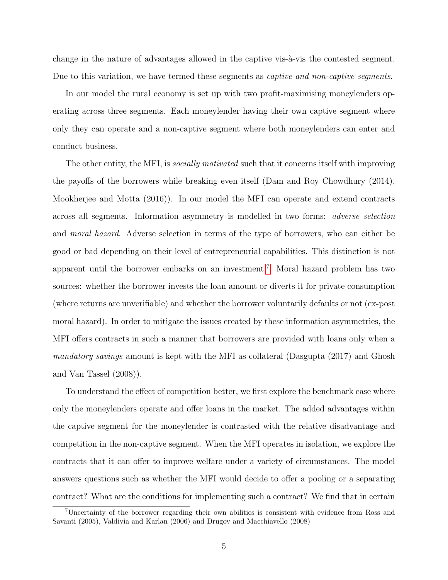change in the nature of advantages allowed in the captive vis- $\alpha$ -vis the contested segment. Due to this variation, we have termed these segments as *captive and non-captive segments*.

In our model the rural economy is set up with two profit-maximising moneylenders operating across three segments. Each moneylender having their own captive segment where only they can operate and a non-captive segment where both moneylenders can enter and conduct business.

The other entity, the MFI, is *socially motivated* such that it concerns itself with improving the payoffs of the borrowers while breaking even itself (Dam and Roy Chowdhury (2014), Mookherjee and Motta (2016)). In our model the MFI can operate and extend contracts across all segments. Information asymmetry is modelled in two forms: adverse selection and moral hazard. Adverse selection in terms of the type of borrowers, who can either be good or bad depending on their level of entrepreneurial capabilities. This distinction is not apparent until the borrower embarks on an investment.[7](#page-6-0) Moral hazard problem has two sources: whether the borrower invests the loan amount or diverts it for private consumption (where returns are unverifiable) and whether the borrower voluntarily defaults or not (ex-post moral hazard). In order to mitigate the issues created by these information asymmetries, the MFI offers contracts in such a manner that borrowers are provided with loans only when a mandatory savings amount is kept with the MFI as collateral (Dasgupta (2017) and Ghosh and Van Tassel (2008)).

To understand the effect of competition better, we first explore the benchmark case where only the moneylenders operate and offer loans in the market. The added advantages within the captive segment for the moneylender is contrasted with the relative disadvantage and competition in the non-captive segment. When the MFI operates in isolation, we explore the contracts that it can offer to improve welfare under a variety of circumstances. The model answers questions such as whether the MFI would decide to offer a pooling or a separating contract? What are the conditions for implementing such a contract? We find that in certain

<span id="page-6-0"></span><sup>7</sup>Uncertainty of the borrower regarding their own abilities is consistent with evidence from Ross and Savanti (2005), Valdivia and Karlan (2006) and Drugov and Macchiavello (2008)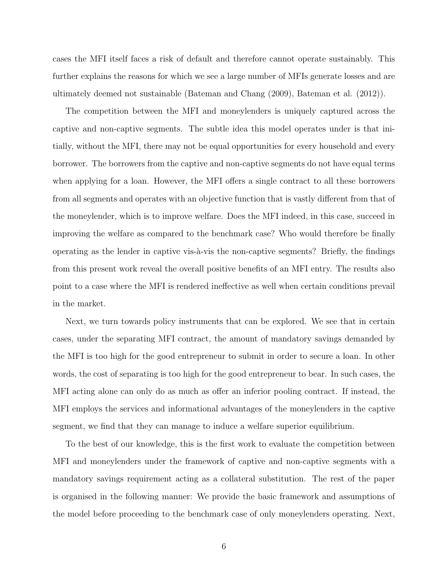cases the MFI itself faces a risk of default and therefore cannot operate sustainably. This further explains the reasons for which we see a large number of MFIs generate losses and are ultimately deemed not sustainable (Bateman and Chang (2009), Bateman et al. (2012)).

The competition between the MFI and moneylenders is uniquely captured across the captive and non-captive segments. The subtle idea this model operates under is that initially, without the MFI, there may not be equal opportunities for every household and every borrower. The borrowers from the captive and non-captive segments do not have equal terms when applying for a loan. However, the MFI offers a single contract to all these borrowers from all segments and operates with an objective function that is vastly different from that of the moneylender, which is to improve welfare. Does the MFI indeed, in this case, succeed in improving the welfare as compared to the benchmark case? Who would therefore be finally operating as the lender in captive vis- $\alpha$ -vis the non-captive segments? Briefly, the findings from this present work reveal the overall positive benefits of an MFI entry. The results also point to a case where the MFI is rendered ineffective as well when certain conditions prevail in the market.

Next, we turn towards policy instruments that can be explored. We see that in certain cases, under the separating MFI contract, the amount of mandatory savings demanded by the MFI is too high for the good entrepreneur to submit in order to secure a loan. In other words, the cost of separating is too high for the good entrepreneur to bear. In such cases, the MFI acting alone can only do as much as offer an inferior pooling contract. If instead, the MFI employs the services and informational advantages of the moneylenders in the captive segment, we find that they can manage to induce a welfare superior equilibrium.

To the best of our knowledge, this is the first work to evaluate the competition between MFI and moneylenders under the framework of captive and non-captive segments with a mandatory savings requirement acting as a collateral substitution. The rest of the paper is organised in the following manner: We provide the basic framework and assumptions of the model before proceeding to the benchmark case of only moneylenders operating. Next,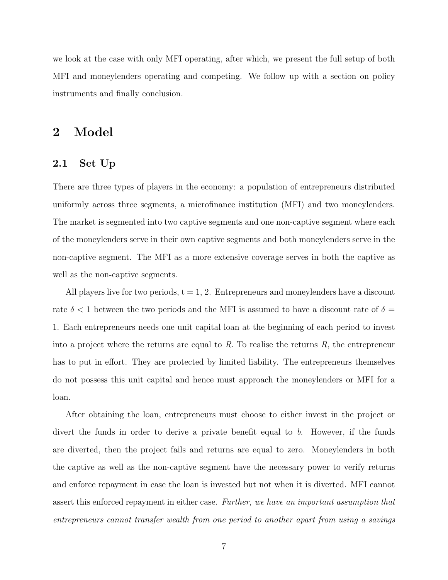we look at the case with only MFI operating, after which, we present the full setup of both MFI and moneylenders operating and competing. We follow up with a section on policy instruments and finally conclusion.

## 2 Model

#### 2.1 Set Up

There are three types of players in the economy: a population of entrepreneurs distributed uniformly across three segments, a microfinance institution (MFI) and two moneylenders. The market is segmented into two captive segments and one non-captive segment where each of the moneylenders serve in their own captive segments and both moneylenders serve in the non-captive segment. The MFI as a more extensive coverage serves in both the captive as well as the non-captive segments.

All players live for two periods,  $t = 1, 2$ . Entrepreneurs and moneylenders have a discount rate  $\delta$  < 1 between the two periods and the MFI is assumed to have a discount rate of  $\delta$  = 1. Each entrepreneurs needs one unit capital loan at the beginning of each period to invest into a project where the returns are equal to  $R$ . To realise the returns  $R$ , the entrepreneur has to put in effort. They are protected by limited liability. The entrepreneurs themselves do not possess this unit capital and hence must approach the moneylenders or MFI for a loan.

After obtaining the loan, entrepreneurs must choose to either invest in the project or divert the funds in order to derive a private benefit equal to b. However, if the funds are diverted, then the project fails and returns are equal to zero. Moneylenders in both the captive as well as the non-captive segment have the necessary power to verify returns and enforce repayment in case the loan is invested but not when it is diverted. MFI cannot assert this enforced repayment in either case. Further, we have an important assumption that entrepreneurs cannot transfer wealth from one period to another apart from using a savings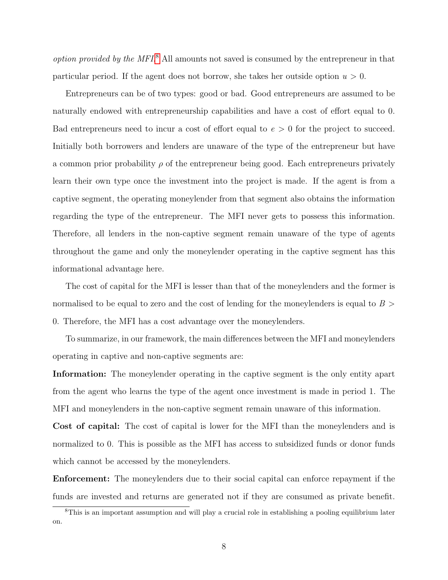option provided by the MFI.<sup>[8](#page-9-0)</sup> All amounts not saved is consumed by the entrepreneur in that particular period. If the agent does not borrow, she takes her outside option  $u > 0$ .

Entrepreneurs can be of two types: good or bad. Good entrepreneurs are assumed to be naturally endowed with entrepreneurship capabilities and have a cost of effort equal to 0. Bad entrepreneurs need to incur a cost of effort equal to  $e > 0$  for the project to succeed. Initially both borrowers and lenders are unaware of the type of the entrepreneur but have a common prior probability  $\rho$  of the entrepreneur being good. Each entrepreneurs privately learn their own type once the investment into the project is made. If the agent is from a captive segment, the operating moneylender from that segment also obtains the information regarding the type of the entrepreneur. The MFI never gets to possess this information. Therefore, all lenders in the non-captive segment remain unaware of the type of agents throughout the game and only the moneylender operating in the captive segment has this informational advantage here.

The cost of capital for the MFI is lesser than that of the moneylenders and the former is normalised to be equal to zero and the cost of lending for the moneylenders is equal to  $B >$ 0. Therefore, the MFI has a cost advantage over the moneylenders.

To summarize, in our framework, the main differences between the MFI and moneylenders operating in captive and non-captive segments are:

Information: The moneylender operating in the captive segment is the only entity apart from the agent who learns the type of the agent once investment is made in period 1. The MFI and moneylenders in the non-captive segment remain unaware of this information.

Cost of capital: The cost of capital is lower for the MFI than the moneylenders and is normalized to 0. This is possible as the MFI has access to subsidized funds or donor funds which cannot be accessed by the moneylenders.

Enforcement: The moneylenders due to their social capital can enforce repayment if the funds are invested and returns are generated not if they are consumed as private benefit.

<span id="page-9-0"></span><sup>&</sup>lt;sup>8</sup>This is an important assumption and will play a crucial role in establishing a pooling equilibrium later on.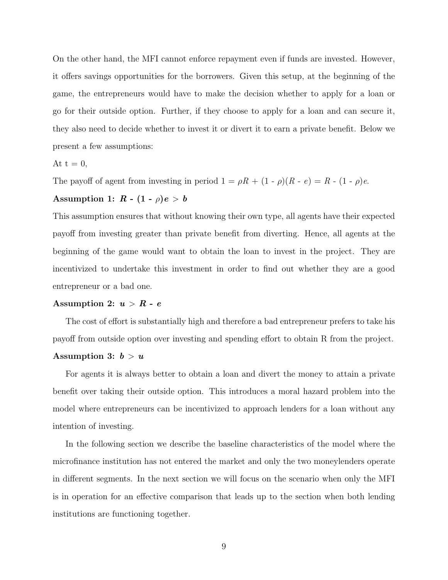On the other hand, the MFI cannot enforce repayment even if funds are invested. However, it offers savings opportunities for the borrowers. Given this setup, at the beginning of the game, the entrepreneurs would have to make the decision whether to apply for a loan or go for their outside option. Further, if they choose to apply for a loan and can secure it, they also need to decide whether to invest it or divert it to earn a private benefit. Below we present a few assumptions:

$$
At t = 0,
$$

The payoff of agent from investing in period  $1 = \rho R + (1 - \rho)(R - e) = R - (1 - \rho)e$ .

## Assumption 1:  $R - (1 - \rho)e > b$

This assumption ensures that without knowing their own type, all agents have their expected payoff from investing greater than private benefit from diverting. Hence, all agents at the beginning of the game would want to obtain the loan to invest in the project. They are incentivized to undertake this investment in order to find out whether they are a good entrepreneur or a bad one.

#### Assumption 2:  $u > R - e$

The cost of effort is substantially high and therefore a bad entrepreneur prefers to take his payoff from outside option over investing and spending effort to obtain R from the project.

#### Assumption 3:  $b > u$

For agents it is always better to obtain a loan and divert the money to attain a private benefit over taking their outside option. This introduces a moral hazard problem into the model where entrepreneurs can be incentivized to approach lenders for a loan without any intention of investing.

In the following section we describe the baseline characteristics of the model where the microfinance institution has not entered the market and only the two moneylenders operate in different segments. In the next section we will focus on the scenario when only the MFI is in operation for an effective comparison that leads up to the section when both lending institutions are functioning together.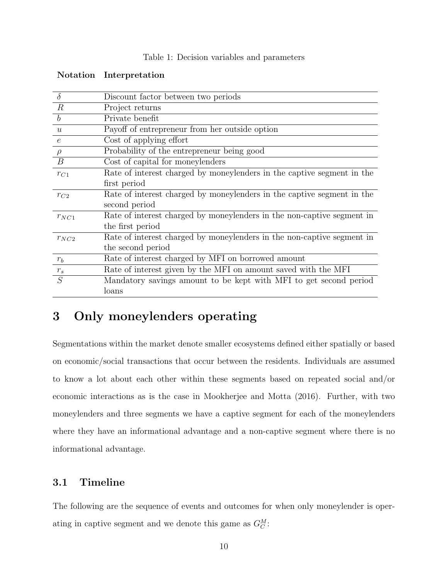|  |  |  |  | Table 1: Decision variables and parameters |
|--|--|--|--|--------------------------------------------|
|--|--|--|--|--------------------------------------------|

| $\delta$         | Discount factor between two periods                                    |
|------------------|------------------------------------------------------------------------|
| $\mathbb{R}$     | Project returns                                                        |
| $\boldsymbol{b}$ | Private benefit                                                        |
| u                | Payoff of entrepreneur from her outside option                         |
| $\epsilon$       | Cost of applying effort                                                |
| $\rho$           | Probability of the entrepreneur being good                             |
| $\boldsymbol{B}$ | Cost of capital for moneylenders                                       |
| $r_{C1}$         | Rate of interest charged by moneylenders in the captive segment in the |
|                  | first period                                                           |
| $r_{C2}$         | Rate of interest charged by moneylenders in the captive segment in the |
|                  | second period                                                          |
| $r_{NC1}$        | Rate of interest charged by moneylenders in the non-captive segment in |
|                  | the first period                                                       |
| $r_{NC2}$        | Rate of interest charged by moneylenders in the non-captive segment in |
|                  | the second period                                                      |
| $r_b$            | Rate of interest charged by MFI on borrowed amount                     |
| $r_s$            | Rate of interest given by the MFI on amount saved with the MFI         |
| S                | Mandatory savings amount to be kept with MFI to get second period      |
|                  | loans                                                                  |

#### Notation Interpretation

# 3 Only moneylenders operating

Segmentations within the market denote smaller ecosystems defined either spatially or based on economic/social transactions that occur between the residents. Individuals are assumed to know a lot about each other within these segments based on repeated social and/or economic interactions as is the case in Mookherjee and Motta (2016). Further, with two moneylenders and three segments we have a captive segment for each of the moneylenders where they have an informational advantage and a non-captive segment where there is no informational advantage.

## 3.1 Timeline

The following are the sequence of events and outcomes for when only moneylender is operating in captive segment and we denote this game as  $G_C^M$ :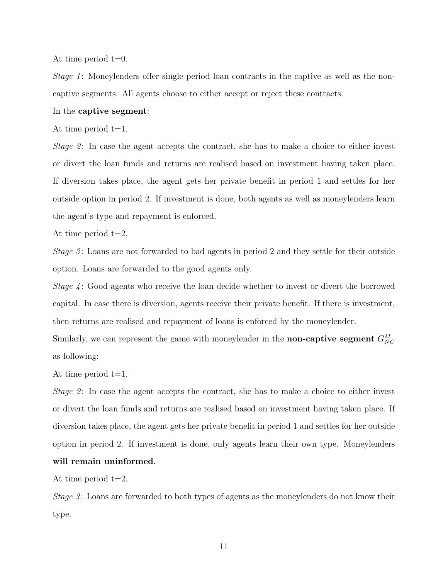At time period  $t=0$ ,

Stage 1: Moneylenders offer single period loan contracts in the captive as well as the noncaptive segments. All agents choose to either accept or reject these contracts.

#### In the captive segment:

At time period  $t=1$ ,

Stage 2: In case the agent accepts the contract, she has to make a choice to either invest or divert the loan funds and returns are realised based on investment having taken place. If diversion takes place, the agent gets her private benefit in period 1 and settles for her outside option in period 2. If investment is done, both agents as well as moneylenders learn the agent's type and repayment is enforced.

At time period  $t=2$ ,

Stage 3: Loans are not forwarded to bad agents in period 2 and they settle for their outside option. Loans are forwarded to the good agents only.

Stage 4 : Good agents who receive the loan decide whether to invest or divert the borrowed capital. In case there is diversion, agents receive their private benefit. If there is investment, then returns are realised and repayment of loans is enforced by the moneylender.

Similarly, we can represent the game with moneylender in the **non-captive segment**  $G_{NC}^M$ as following:

At time period  $t=1$ ,

Stage 2: In case the agent accepts the contract, she has to make a choice to either invest or divert the loan funds and returns are realised based on investment having taken place. If diversion takes place, the agent gets her private benefit in period 1 and settles for her outside option in period 2. If investment is done, only agents learn their own type. Moneylenders will remain uninformed.

At time period  $t=2$ ,

Stage  $3$ : Loans are forwarded to both types of agents as the moneylenders do not know their type.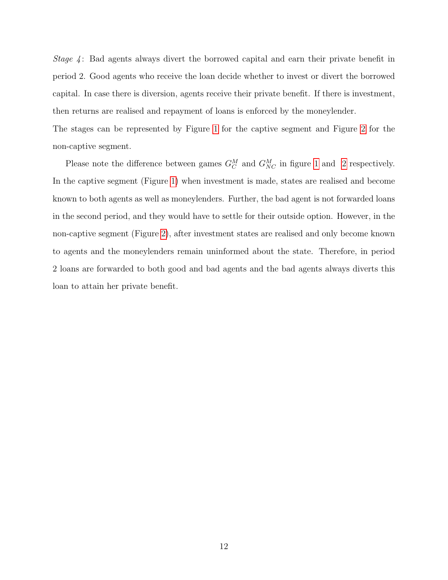Stage 4: Bad agents always divert the borrowed capital and earn their private benefit in period 2. Good agents who receive the loan decide whether to invest or divert the borrowed capital. In case there is diversion, agents receive their private benefit. If there is investment, then returns are realised and repayment of loans is enforced by the moneylender.

The stages can be represented by Figure [1](#page-14-0) for the captive segment and Figure [2](#page-15-0) for the non-captive segment.

Please note the difference between games  $G_C^M$  and  $G_{NC}^M$  in figure [1](#page-14-0) and [2](#page-15-0) respectively. In the captive segment (Figure [1\)](#page-14-0) when investment is made, states are realised and become known to both agents as well as moneylenders. Further, the bad agent is not forwarded loans in the second period, and they would have to settle for their outside option. However, in the non-captive segment (Figure [2\)](#page-15-0), after investment states are realised and only become known to agents and the moneylenders remain uninformed about the state. Therefore, in period 2 loans are forwarded to both good and bad agents and the bad agents always diverts this loan to attain her private benefit.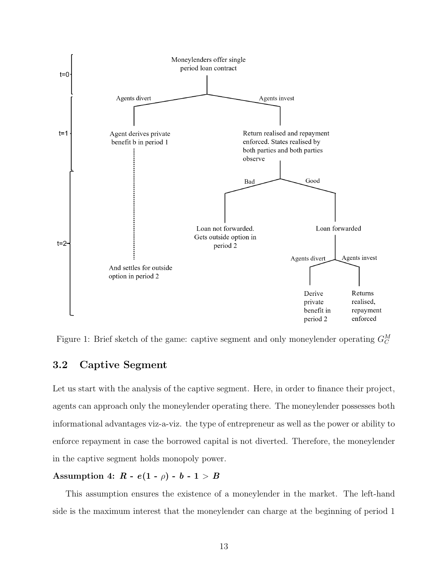<span id="page-14-0"></span>

Figure 1: Brief sketch of the game: captive segment and only moneylender operating  $G_C^M$ 

## 3.2 Captive Segment

Let us start with the analysis of the captive segment. Here, in order to finance their project, agents can approach only the moneylender operating there. The moneylender possesses both informational advantages viz-a-viz. the type of entrepreneur as well as the power or ability to enforce repayment in case the borrowed capital is not diverted. Therefore, the moneylender in the captive segment holds monopoly power.

## Assumption 4:  $R - e(1 - \rho) - b - 1 > B$

This assumption ensures the existence of a moneylender in the market. The left-hand side is the maximum interest that the moneylender can charge at the beginning of period 1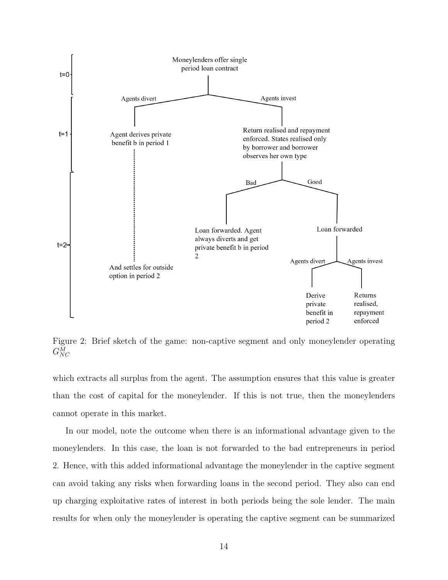<span id="page-15-0"></span>

Figure 2: Brief sketch of the game: non-captive segment and only moneylender operating  $G^M_{NC}$ 

which extracts all surplus from the agent. The assumption ensures that this value is greater than the cost of capital for the moneylender. If this is not true, then the moneylenders cannot operate in this market.

In our model, note the outcome when there is an informational advantage given to the moneylenders. In this case, the loan is not forwarded to the bad entrepreneurs in period 2. Hence, with this added informational advantage the moneylender in the captive segment can avoid taking any risks when forwarding loans in the second period. They also can end up charging exploitative rates of interest in both periods being the sole lender. The main results for when only the moneylender is operating the captive segment can be summarized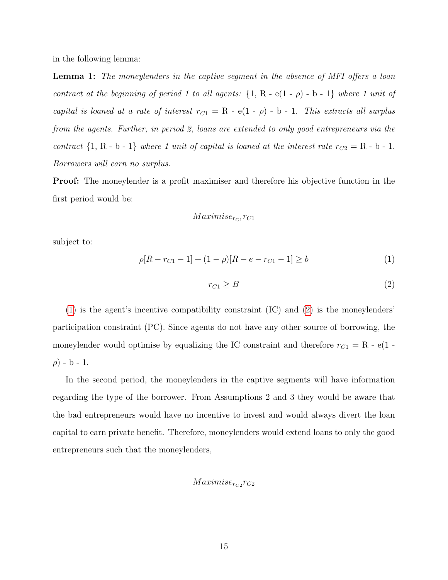in the following lemma:

**Lemma 1:** The moneylenders in the captive segment in the absence of MFI offers a loan contract at the beginning of period 1 to all agents:  $\{1, R - e(1 - \rho) - b - 1\}$  where 1 unit of capital is loaned at a rate of interest  $r_{C1} = R - e(1 - \rho) - b - 1$ . This extracts all surplus from the agents. Further, in period 2, loans are extended to only good entrepreneurs via the contract  $\{1, R - b - 1\}$  where 1 unit of capital is loaned at the interest rate  $r_{C2} = R - b - 1$ . Borrowers will earn no surplus.

Proof: The moneylender is a profit maximiser and therefore his objective function in the first period would be:

### $Maximise_{rc_1}r_{C_1}$

subject to:

<span id="page-16-0"></span>
$$
\rho[R - r_{C1} - 1] + (1 - \rho)[R - e - r_{C1} - 1] \ge b \tag{1}
$$

<span id="page-16-1"></span>
$$
r_{C1} \geq B \tag{2}
$$

[\(1\)](#page-16-0) is the agent's incentive compatibility constraint (IC) and [\(2\)](#page-16-1) is the moneylenders' participation constraint (PC). Since agents do not have any other source of borrowing, the moneylender would optimise by equalizing the IC constraint and therefore  $r_{C1} = R - e(1 \rho$ ) - b - 1.

In the second period, the moneylenders in the captive segments will have information regarding the type of the borrower. From Assumptions 2 and 3 they would be aware that the bad entrepreneurs would have no incentive to invest and would always divert the loan capital to earn private benefit. Therefore, moneylenders would extend loans to only the good entrepreneurs such that the moneylenders,

### $Maximise_{rc_2}r_{C2}$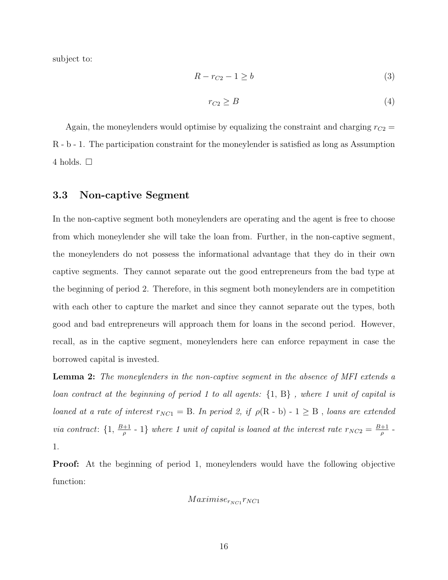subject to:

$$
R - r_{C2} - 1 \ge b \tag{3}
$$

$$
r_{C2} \ge B \tag{4}
$$

Again, the moneylenders would optimise by equalizing the constraint and charging  $r_{C2}$  = R - b - 1. The participation constraint for the moneylender is satisfied as long as Assumption 4 holds.  $\square$ 

#### 3.3 Non-captive Segment

In the non-captive segment both moneylenders are operating and the agent is free to choose from which moneylender she will take the loan from. Further, in the non-captive segment, the moneylenders do not possess the informational advantage that they do in their own captive segments. They cannot separate out the good entrepreneurs from the bad type at the beginning of period 2. Therefore, in this segment both moneylenders are in competition with each other to capture the market and since they cannot separate out the types, both good and bad entrepreneurs will approach them for loans in the second period. However, recall, as in the captive segment, moneylenders here can enforce repayment in case the borrowed capital is invested.

**Lemma 2:** The moneylenders in the non-captive segment in the absence of MFI extends a loan contract at the beginning of period 1 to all agents: {1, B} , where 1 unit of capital is loaned at a rate of interest  $r_{NC1} = B$ . In period 2, if  $\rho(R - b) - 1 \geq B$ , loans are extended via contract:  $\{1, \frac{B+1}{\rho} - 1\}$  where 1 unit of capital is loaned at the interest rate  $r_{NC2} = \frac{B+1}{\rho}$  $\frac{+1}{\rho}$  -1.

Proof: At the beginning of period 1, moneylenders would have the following objective function:

$$
Maximise_{r_{NC1}}r_{NC1}
$$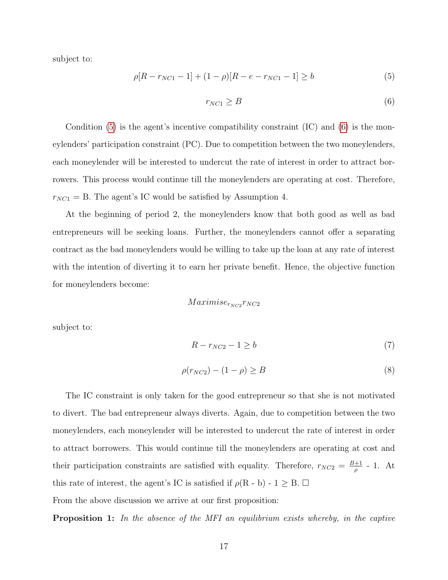subject to:

<span id="page-18-0"></span>
$$
\rho[R - r_{NC1} - 1] + (1 - \rho)[R - e - r_{NC1} - 1] \ge b \tag{5}
$$

<span id="page-18-1"></span>
$$
r_{NC1} \geq B \tag{6}
$$

Condition [\(5\)](#page-18-0) is the agent's incentive compatibility constraint (IC) and [\(6\)](#page-18-1) is the moneylenders' participation constraint (PC). Due to competition between the two moneylenders, each moneylender will be interested to undercut the rate of interest in order to attract borrowers. This process would continue till the moneylenders are operating at cost. Therefore,  $r_{NC1} = B$ . The agent's IC would be satisfied by Assumption 4.

At the beginning of period 2, the moneylenders know that both good as well as bad entrepreneurs will be seeking loans. Further, the moneylenders cannot offer a separating contract as the bad moneylenders would be willing to take up the loan at any rate of interest with the intention of diverting it to earn her private benefit. Hence, the objective function for moneylenders become:

$$
Maximise_{r_{NC2}}r_{NC2}
$$

subject to:

$$
R - r_{NC2} - 1 \ge b \tag{7}
$$

$$
\rho(r_{NC2}) - (1 - \rho) \ge B \tag{8}
$$

The IC constraint is only taken for the good entrepreneur so that she is not motivated to divert. The bad entrepreneur always diverts. Again, due to competition between the two moneylenders, each moneylender will be interested to undercut the rate of interest in order to attract borrowers. This would continue till the moneylenders are operating at cost and their participation constraints are satisfied with equality. Therefore,  $r_{NC2} = \frac{B+1}{a}$  $\frac{+1}{\rho}$  - 1. At this rate of interest, the agent's IC is satisfied if  $\rho(R - b) - 1 \geq B$ .  $\Box$ 

From the above discussion we arrive at our first proposition:

Proposition 1: In the absence of the MFI an equilibrium exists whereby, in the captive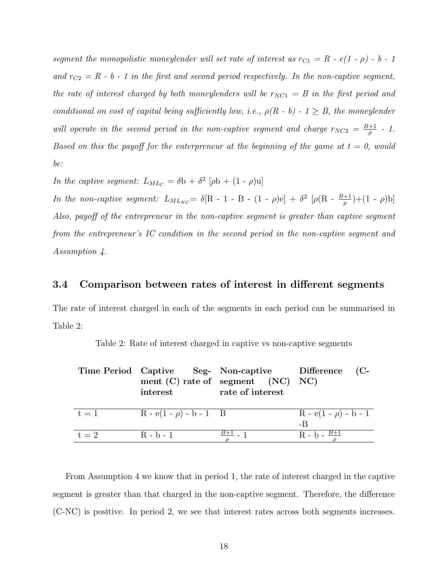segment the monopolistic moneylender will set rate of interest as  $r_{C1} = R - e(1 - \rho) - b - 1$ and  $r_{C2} = R - b - 1$  in the first and second period respectively. In the non-captive segment, the rate of interest charged by both moneylenders will be  $r_{NC1} = B$  in the first period and conditional on cost of capital being sufficiently low, i.e.,  $\rho(R - b) - 1 \geq B$ , the moneylender will operate in the second period in the non-captive segment and charge  $r_{NC2} = \frac{B+1}{a}$  $\frac{+1}{\rho}$  - 1. Based on this the payoff for the enterpreneur at the beginning of the game at  $t = 0$ , would be:

In the captive segment:  $L_{ML_C} = \delta b + \delta^2 [\rho b + (1 - \rho) u]$ 

In the non-captive segment:  $L_{MLNC} = \delta[R - 1 - B - (1 - \rho)e] + \delta^2 [\rho(R - \frac{B+1}{\rho}) + (1 - \rho)b]$ Also, payoff of the entrepreneur in the non-captive segment is greater than captive segment from the entrepreneur's IC condition in the second period in the non-captive segment and Assumption 4.

### 3.4 Comparison between rates of interest in different segments

The rate of interest charged in each of the segments in each period can be summarised in Table 2:

|         | Time Period Captive Seg- Non-captive Difference |                                      |                           |
|---------|-------------------------------------------------|--------------------------------------|---------------------------|
|         |                                                 | ment $(C)$ rate of segment $(NC)$ NC |                           |
|         | interest                                        | rate of interest                     |                           |
|         |                                                 |                                      |                           |
| $t = 1$ | $R - e(1 - \rho) - b - 1$ B                     |                                      | $R - e(1 - \rho) - b - 1$ |
|         |                                                 |                                      | -R                        |
| $t = 2$ | $R - b - 1$                                     | $\frac{B+1}{2}$ - 1                  | $R - b - \frac{B+1}{2}$   |

| Table 2: Rate of interest charged in captive vs non-captive segments |  |  |  |  |  |
|----------------------------------------------------------------------|--|--|--|--|--|
|                                                                      |  |  |  |  |  |

From Assumption 4 we know that in period 1, the rate of interest charged in the captive segment is greater than that charged in the non-captive segment. Therefore, the difference (C-NC) is positive. In period 2, we see that interest rates across both segments increases.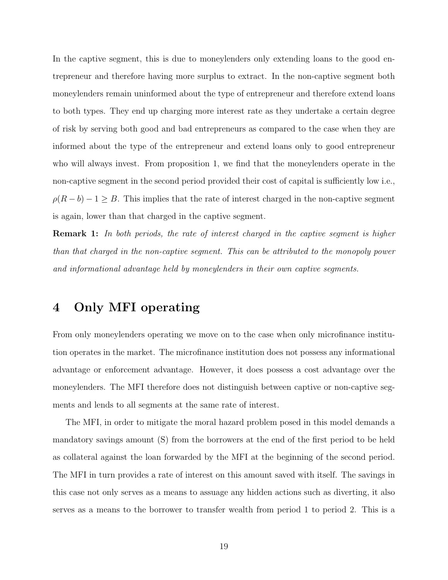In the captive segment, this is due to moneylenders only extending loans to the good entrepreneur and therefore having more surplus to extract. In the non-captive segment both moneylenders remain uninformed about the type of entrepreneur and therefore extend loans to both types. They end up charging more interest rate as they undertake a certain degree of risk by serving both good and bad entrepreneurs as compared to the case when they are informed about the type of the entrepreneur and extend loans only to good entrepreneur who will always invest. From proposition 1, we find that the moneylenders operate in the non-captive segment in the second period provided their cost of capital is sufficiently low i.e.,  $\rho(R - b) - 1 \geq B$ . This implies that the rate of interest charged in the non-captive segment is again, lower than that charged in the captive segment.

**Remark 1:** In both periods, the rate of interest charged in the captive segment is higher than that charged in the non-captive segment. This can be attributed to the monopoly power and informational advantage held by moneylenders in their own captive segments.

# 4 Only MFI operating

From only moneylenders operating we move on to the case when only microfinance institution operates in the market. The microfinance institution does not possess any informational advantage or enforcement advantage. However, it does possess a cost advantage over the moneylenders. The MFI therefore does not distinguish between captive or non-captive segments and lends to all segments at the same rate of interest.

The MFI, in order to mitigate the moral hazard problem posed in this model demands a mandatory savings amount (S) from the borrowers at the end of the first period to be held as collateral against the loan forwarded by the MFI at the beginning of the second period. The MFI in turn provides a rate of interest on this amount saved with itself. The savings in this case not only serves as a means to assuage any hidden actions such as diverting, it also serves as a means to the borrower to transfer wealth from period 1 to period 2. This is a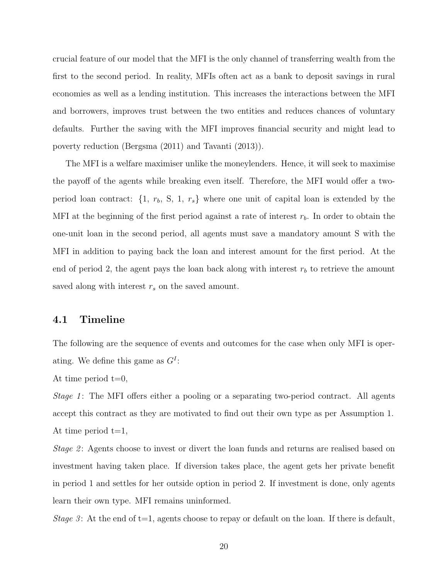crucial feature of our model that the MFI is the only channel of transferring wealth from the first to the second period. In reality, MFIs often act as a bank to deposit savings in rural economies as well as a lending institution. This increases the interactions between the MFI and borrowers, improves trust between the two entities and reduces chances of voluntary defaults. Further the saving with the MFI improves financial security and might lead to poverty reduction (Bergsma (2011) and Tavanti (2013)).

The MFI is a welfare maximiser unlike the moneylenders. Hence, it will seek to maximise the payoff of the agents while breaking even itself. Therefore, the MFI would offer a twoperiod loan contract:  $\{1, r_b, S, 1, r_s\}$  where one unit of capital loan is extended by the MFI at the beginning of the first period against a rate of interest  $r_b$ . In order to obtain the one-unit loan in the second period, all agents must save a mandatory amount S with the MFI in addition to paying back the loan and interest amount for the first period. At the end of period 2, the agent pays the loan back along with interest  $r<sub>b</sub>$  to retrieve the amount saved along with interest  $r_s$  on the saved amount.

#### 4.1 Timeline

The following are the sequence of events and outcomes for the case when only MFI is operating. We define this game as  $G^I$ :

At time period  $t=0$ ,

Stage 1: The MFI offers either a pooling or a separating two-period contract. All agents accept this contract as they are motivated to find out their own type as per Assumption 1. At time period  $t=1$ ,

Stage 2: Agents choose to invest or divert the loan funds and returns are realised based on investment having taken place. If diversion takes place, the agent gets her private benefit in period 1 and settles for her outside option in period 2. If investment is done, only agents learn their own type. MFI remains uninformed.

Stage 3: At the end of  $t=1$ , agents choose to repay or default on the loan. If there is default,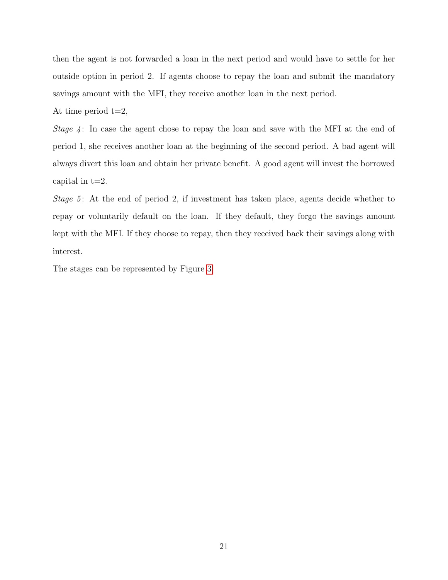then the agent is not forwarded a loan in the next period and would have to settle for her outside option in period 2. If agents choose to repay the loan and submit the mandatory savings amount with the MFI, they receive another loan in the next period.

At time period  $t=2$ ,

Stage  $4$ : In case the agent chose to repay the loan and save with the MFI at the end of period 1, she receives another loan at the beginning of the second period. A bad agent will always divert this loan and obtain her private benefit. A good agent will invest the borrowed capital in  $t=2$ .

Stage 5: At the end of period 2, if investment has taken place, agents decide whether to repay or voluntarily default on the loan. If they default, they forgo the savings amount kept with the MFI. If they choose to repay, then they received back their savings along with interest.

The stages can be represented by Figure [3.](#page-23-0)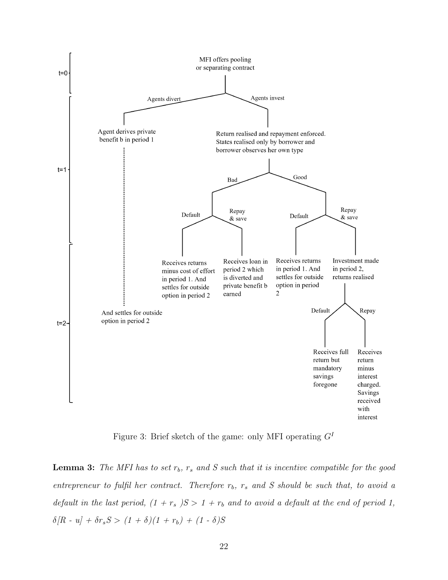<span id="page-23-0"></span>

Figure 3: Brief sketch of the game: only MFI operating  $G<sup>I</sup>$ 

**Lemma 3:** The MFI has to set  $r_b$ ,  $r_s$  and S such that it is incentive compatible for the good entrepreneur to fulfil her contract. Therefore  $r_b$ ,  $r_s$  and S should be such that, to avoid a default in the last period,  $(1 + r_s)S > 1 + r_b$  and to avoid a default at the end of period 1,  $\delta/R$  - u] +  $\delta r_s S > (1 + \delta)(1 + r_b) + (1 - \delta)S$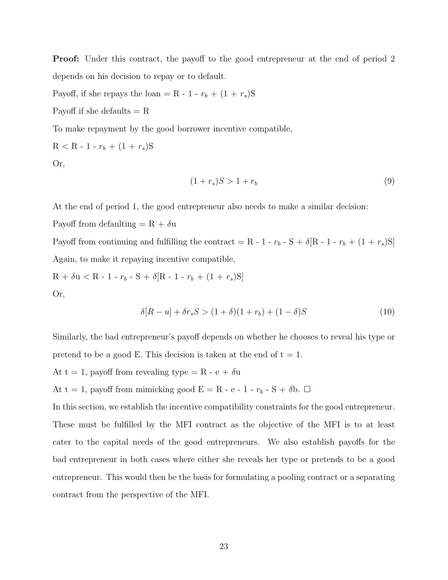Proof: Under this contract, the payoff to the good entrepreneur at the end of period 2 depends on his decision to repay or to default.

Payoff, if she repays the loan = R - 1 -  $r_b + (1 + r_s)S$ 

Payoff if she defaults  $= R$ 

To make repayment by the good borrower incentive compatible,

$$
R < R - 1 - r_b + (1 + r_s)S
$$

Or,

$$
(1+r_s)S > 1+r_b \tag{9}
$$

At the end of period 1, the good entrepreneur also needs to make a similar decision:

Payoff from defaulting  $= R + \delta u$ 

Payoff from continuing and fulfilling the contract = R - 1 -  $r_b$  - S +  $\delta$ [R - 1 -  $r_b + (1 + r_s)S$ ] Again, to make it repaying incentive compatible,

$$
R + \delta u < R - 1 - r_b - S + \delta[R - 1 - r_b + (1 + r_s)S]
$$

Or,

$$
\delta[R - u] + \delta r_s S > (1 + \delta)(1 + r_b) + (1 - \delta)S \tag{10}
$$

Similarly, the bad entrepreneur's payoff depends on whether he chooses to reveal his type or pretend to be a good E. This decision is taken at the end of  $t = 1$ .

At t = 1, payoff from revealing type = R - e +  $\delta u$ 

At t = 1, payoff from mimicking good E = R - e - 1 -  $r_b$  - S +  $\delta$ b.  $\Box$ 

In this section, we establish the incentive compatibility constraints for the good entrepreneur. These must be fulfilled by the MFI contract as the objective of the MFI is to at least cater to the capital needs of the good entrepreneurs. We also establish payoffs for the bad entrepreneur in both cases where either she reveals her type or pretends to be a good entrepreneur. This would then be the basis for formulating a pooling contract or a separating contract from the perspective of the MFI.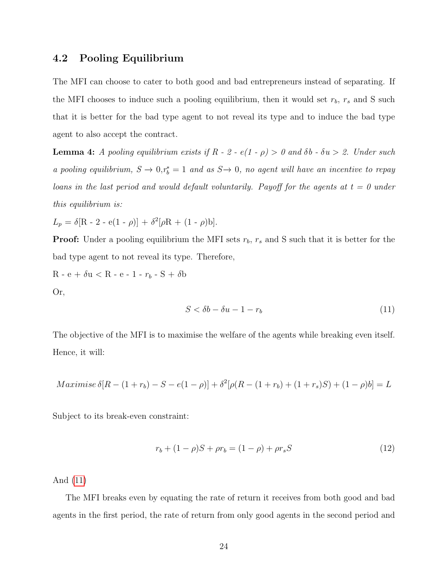#### 4.2 Pooling Equilibrium

The MFI can choose to cater to both good and bad entrepreneurs instead of separating. If the MFI chooses to induce such a pooling equilibrium, then it would set  $r_b$ ,  $r_s$  and S such that it is better for the bad type agent to not reveal its type and to induce the bad type agent to also accept the contract.

**Lemma 4:** A pooling equilibrium exists if  $R - 2 - e(1 - \rho) > 0$  and  $\delta b - \delta u > 2$ . Under such a pooling equilibrium,  $S \to 0, r_b^* = 1$  and as  $S \to 0$ , no agent will have an incentive to repay loans in the last period and would default voluntarily. Payoff for the agents at  $t = 0$  under this equilibrium is:

 $L_p = \delta[R - 2 - e(1 - \rho)] + \delta^2[\rho R + (1 - \rho)b].$ 

**Proof:** Under a pooling equilibrium the MFI sets  $r_b$ ,  $r_s$  and S such that it is better for the bad type agent to not reveal its type. Therefore,

R - e +  $\delta u$  < R - e - 1 -  $r_b$  - S +  $\delta b$ Or,

<span id="page-25-0"></span>
$$
S < \delta b - \delta u - 1 - r_b \tag{11}
$$

The objective of the MFI is to maximise the welfare of the agents while breaking even itself. Hence, it will:

$$
Maximise \delta[R - (1 + r_b) - S - e(1 - \rho)] + \delta^2[\rho(R - (1 + r_b) + (1 + r_s)S) + (1 - \rho)b] = L
$$

Subject to its break-even constraint:

$$
r_b + (1 - \rho)S + \rho r_b = (1 - \rho) + \rho r_s S \tag{12}
$$

And [\(11\)](#page-25-0)

The MFI breaks even by equating the rate of return it receives from both good and bad agents in the first period, the rate of return from only good agents in the second period and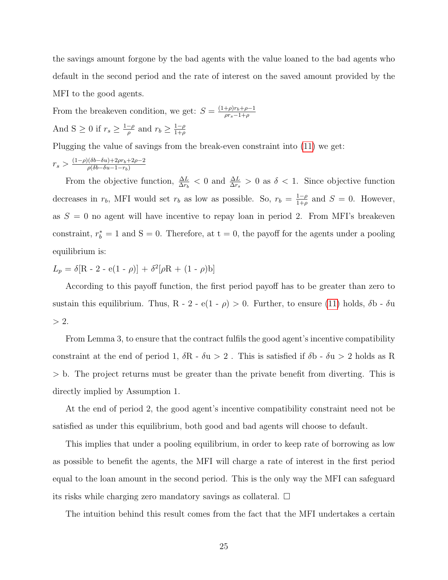the savings amount forgone by the bad agents with the value loaned to the bad agents who default in the second period and the rate of interest on the saved amount provided by the MFI to the good agents.

From the breakeven condition, we get:  $S = \frac{(1+\rho)r_b+\rho-1}{\rho r_a-1+\rho}$  $\rho r_s-1+\rho$ And S  $\geq 0$  if  $r_s \geq \frac{1-\rho}{\rho}$  $\frac{-\rho}{\rho}$  and  $r_b \geq \frac{1-\rho}{1+\rho}$  $1+\rho$ 

Plugging the value of savings from the break-even constraint into [\(11\)](#page-25-0) we get:

$$
r_s > \tfrac{(1-\rho)(\delta b - \delta u) + 2\rho r_b + 2\rho - 2}{\rho(\delta b - \delta u - 1 - r_b)}
$$

From the objective function,  $\frac{\Delta L}{\Delta r_b} < 0$  and  $\frac{\Delta L}{\Delta r_s} > 0$  as  $\delta < 1$ . Since objective function decreases in  $r_b$ , MFI would set  $r_b$  as low as possible. So,  $r_b = \frac{1-\rho}{1+\rho}$  $\frac{1-\rho}{1+\rho}$  and  $S=0$ . However, as  $S = 0$  no agent will have incentive to repay loan in period 2. From MFI's breakeven constraint,  $r_b^* = 1$  and  $S = 0$ . Therefore, at  $t = 0$ , the payoff for the agents under a pooling equilibrium is:

$$
L_p = \delta[R - 2 - e(1 - \rho)] + \delta^2[\rho R + (1 - \rho)b]
$$

According to this payoff function, the first period payoff has to be greater than zero to sustain this equilibrium. Thus, R - 2 - e(1 -  $\rho$ ) > 0. Further, to ensure [\(11\)](#page-25-0) holds,  $\delta$ b -  $\delta$ u  $> 2$ .

From Lemma 3, to ensure that the contract fulfils the good agent's incentive compatibility constraint at the end of period 1,  $\delta {\rm R}$  -  $\delta {\rm u}$   $>$  2 . This is satisfied if  $\delta {\rm b}$  -  $\delta {\rm u}$   $>$  2 holds as  ${\rm R}$ > b. The project returns must be greater than the private benefit from diverting. This is directly implied by Assumption 1.

At the end of period 2, the good agent's incentive compatibility constraint need not be satisfied as under this equilibrium, both good and bad agents will choose to default.

This implies that under a pooling equilibrium, in order to keep rate of borrowing as low as possible to benefit the agents, the MFI will charge a rate of interest in the first period equal to the loan amount in the second period. This is the only way the MFI can safeguard its risks while charging zero mandatory savings as collateral.  $\square$ 

The intuition behind this result comes from the fact that the MFI undertakes a certain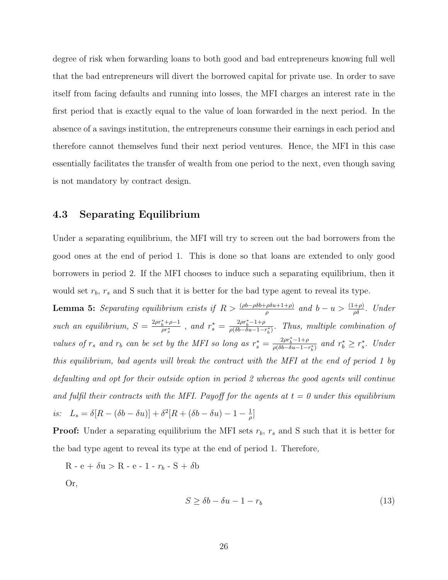degree of risk when forwarding loans to both good and bad entrepreneurs knowing full well that the bad entrepreneurs will divert the borrowed capital for private use. In order to save itself from facing defaults and running into losses, the MFI charges an interest rate in the first period that is exactly equal to the value of loan forwarded in the next period. In the absence of a savings institution, the entrepreneurs consume their earnings in each period and therefore cannot themselves fund their next period ventures. Hence, the MFI in this case essentially facilitates the transfer of wealth from one period to the next, even though saving is not mandatory by contract design.

#### 4.3 Separating Equilibrium

Under a separating equilibrium, the MFI will try to screen out the bad borrowers from the good ones at the end of period 1. This is done so that loans are extended to only good borrowers in period 2. If the MFI chooses to induce such a separating equilibrium, then it would set  $r_b$ ,  $r_s$  and S such that it is better for the bad type agent to reveal its type.

**Lemma 5:** Separating equilibrium exists if  $R > \frac{(\rho b - \rho \delta b + \rho \delta u + 1 + \rho)}{\rho}$  and  $b - u > \frac{(1+\rho)}{\rho \delta}$ . Under such an equilibrium,  $S = \frac{2\rho r_b^* + \rho - 1}{\rho r^*}$  $\frac{f_b^* + \rho - 1}{\rho r_s^*}$ , and  $r_s^* = \frac{2\rho r_b^* - 1 + \rho}{\rho (\delta b - \delta u - 1 - \delta u)}$  $\frac{2pr_b-1+\rho}{\rho(\delta b-\delta u-1-r_b^*)}$ . Thus, multiple combination of values of  $r_s$  and  $r_b$  can be set by the MFI so long as  $r_s^* = \frac{2\rho r_b^* - 1 + \rho}{\rho (\delta b - \delta u - 1 - \epsilon)}$  $\frac{2\rho r_b^* - 1 + \rho}{\rho (\delta b - \delta u - 1 - r_b^*)}$  and  $r_b^* \geq r_s^*$ . Under this equilibrium, bad agents will break the contract with the MFI at the end of period 1 by defaulting and opt for their outside option in period 2 whereas the good agents will continue and fulfil their contracts with the MFI. Payoff for the agents at  $t = 0$  under this equilibrium is:  $L_s = \delta[R - (\delta b - \delta u)] + \delta^2[R + (\delta b - \delta u) - 1 - \frac{1}{\delta}]$  $\frac{1}{\rho}$ ]

**Proof:** Under a separating equilibrium the MFI sets  $r_b$ ,  $r_s$  and S such that it is better for the bad type agent to reveal its type at the end of period 1. Therefore,

 $R - e + \delta u > R - e - 1 - r_b - S + \delta b$ 

Or,

<span id="page-27-0"></span>
$$
S \ge \delta b - \delta u - 1 - r_b \tag{13}
$$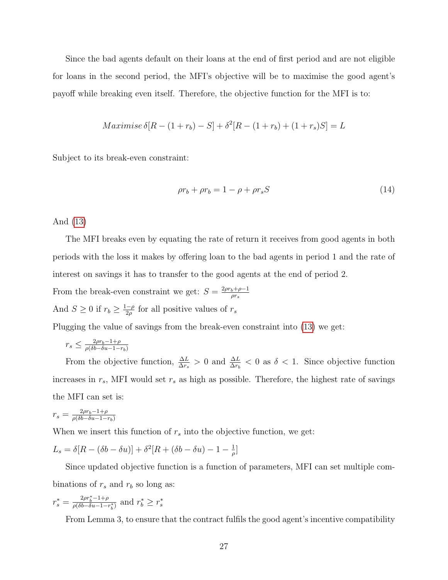Since the bad agents default on their loans at the end of first period and are not eligible for loans in the second period, the MFI's objective will be to maximise the good agent's payoff while breaking even itself. Therefore, the objective function for the MFI is to:

$$
Maximise \delta[R - (1 + r_b) - S] + \delta^2[R - (1 + r_b) + (1 + r_s)S] = L
$$

Subject to its break-even constraint:

$$
\rho r_b + \rho r_b = 1 - \rho + \rho r_s S \tag{14}
$$

And [\(13\)](#page-27-0)

The MFI breaks even by equating the rate of return it receives from good agents in both periods with the loss it makes by offering loan to the bad agents in period 1 and the rate of interest on savings it has to transfer to the good agents at the end of period 2.

From the break-even constraint we get:  $S = \frac{2\rho r_b + \rho - 1}{\alpha r}$  $\rho r_s$ And  $S \geq 0$  if  $r_b \geq \frac{1-\rho}{2\rho}$  $\frac{-\rho}{2\rho}$  for all positive values of  $r_s$ 

Plugging the value of savings from the break-even constraint into [\(13\)](#page-27-0) we get:

$$
r_s \leq \frac{2\rho r_b - 1 + \rho}{\rho(\delta b - \delta u - 1 - r_b)}
$$

From the objective function,  $\frac{\Delta L}{\Delta r_s} > 0$  and  $\frac{\Delta L}{\Delta r_b} < 0$  as  $\delta < 1$ . Since objective function increases in  $r_s$ , MFI would set  $r_s$  as high as possible. Therefore, the highest rate of savings the MFI can set is:

$$
r_s = \frac{2\rho r_b - 1 + \rho}{\rho(\delta b - \delta u - 1 - r_b)}
$$

When we insert this function of  $r_s$  into the objective function, we get:

$$
L_s = \delta[R - (\delta b - \delta u)] + \delta^2[R + (\delta b - \delta u) - 1 - \frac{1}{\rho}]
$$

Since updated objective function is a function of parameters, MFI can set multiple combinations of  $r_s$  and  $r_b$  so long as:

$$
r_s^* = \frac{2\rho r_b^* - 1 + \rho}{\rho(\delta b - \delta u - 1 - r_b^*)}
$$
 and  $r_b^* \ge r_s^*$ 

From Lemma 3, to ensure that the contract fulfils the good agent's incentive compatibility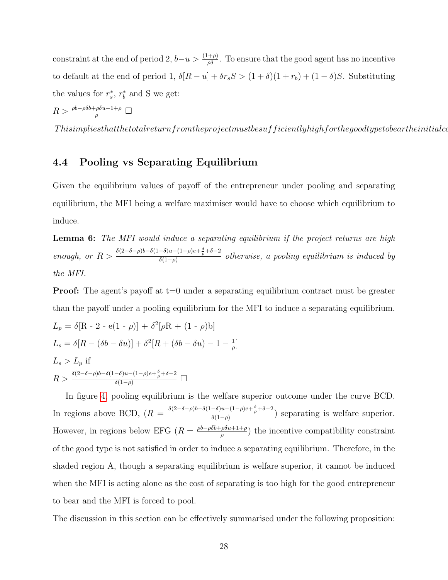constraint at the end of period 2,  $b-u > \frac{(1+\rho)}{\rho \delta}$ . To ensure that the good agent has no incentive to default at the end of period 1,  $\delta[R - u] + \delta r_s S > (1 + \delta)(1 + r_b) + (1 - \delta)S$ . Substituting the values for  $r_s^*$ ,  $r_b^*$  and S we get:

$$
R > \frac{\rho b - \rho \delta b + \rho \delta u + 1 + \rho}{\rho} \square
$$

 $This implies that the total return from the project must be sufficiently high for the good type to be arthe initial coefficient.$ 

## 4.4 Pooling vs Separating Equilibrium

Given the equilibrium values of payoff of the entrepreneur under pooling and separating equilibrium, the MFI being a welfare maximiser would have to choose which equilibrium to induce.

**Lemma 6:** The MFI would induce a separating equilibrium if the project returns are high enough, or  $R > \frac{\delta(2-\delta-\rho)b-\delta(1-\delta)u-(1-\rho)e+\frac{\delta}{\rho}+\delta-2}{\delta(1-\rho)}$  $\frac{\delta(a-b)c+\rho+c}{\delta(1-\rho)}$  otherwise, a pooling equilibrium is induced by the MFI.

**Proof:** The agent's payoff at  $t=0$  under a separating equilibrium contract must be greater than the payoff under a pooling equilibrium for the MFI to induce a separating equilibrium.

$$
L_p = \delta[R - 2 - e(1 - \rho)] + \delta^2[\rho R + (1 - \rho)b]
$$
  
\n
$$
L_s = \delta[R - (\delta b - \delta u)] + \delta^2[R + (\delta b - \delta u) - 1 - \frac{1}{\rho}]
$$
  
\n
$$
L_s > L_p \text{ if}
$$
  
\n
$$
R > \frac{\delta(2 - \delta - \rho)b - \delta(1 - \delta)u - (1 - \rho)e + \frac{\delta}{\rho} + \delta - 2}{\delta(1 - \rho)} \square
$$

In figure [4,](#page-30-0) pooling equilibrium is the welfare superior outcome under the curve BCD. In regions above BCD,  $(R = \frac{\delta(2-\delta-\rho)b-\delta(1-\delta)u-(1-\rho)e+\frac{\delta}{\rho}+\delta-2}{\delta(1-\rho)}$  $\frac{\delta(a-\mu)}{\delta(1-\rho)}$  separating is welfare superior. However, in regions below EFG  $(R = \frac{\rho b - \rho \delta b + \rho \delta u + 1 + \rho}{\rho}$  $(\rho \geq \rho)$  the incentive compatibility constraint of the good type is not satisfied in order to induce a separating equilibrium. Therefore, in the shaded region A, though a separating equilibrium is welfare superior, it cannot be induced when the MFI is acting alone as the cost of separating is too high for the good entrepreneur to bear and the MFI is forced to pool.

The discussion in this section can be effectively summarised under the following proposition: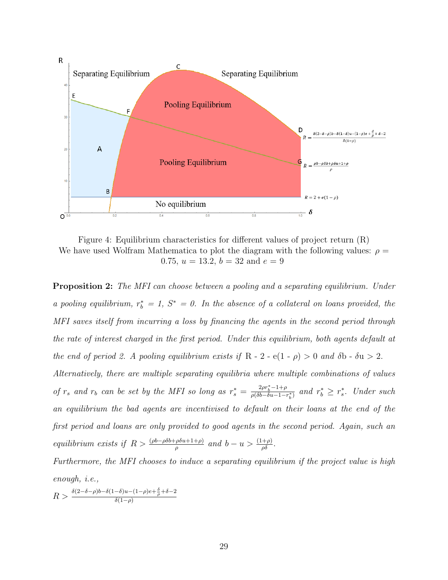<span id="page-30-0"></span>

Figure 4: Equilibrium characteristics for different values of project return (R) We have used Wolfram Mathematica to plot the diagram with the following values:  $\rho =$ 0.75,  $u = 13.2$ ,  $b = 32$  and  $e = 9$ 

**Proposition 2:** The MFI can choose between a pooling and a separating equilibrium. Under a pooling equilibrium,  $r_b^* = 1$ ,  $S^* = 0$ . In the absence of a collateral on loans provided, the MFI saves itself from incurring a loss by financing the agents in the second period through the rate of interest charged in the first period. Under this equilibrium, both agents default at the end of period 2. A pooling equilibrium exists if R - 2 - e(1 -  $\rho$ ) > 0 and  $\delta$ b -  $\delta u$  > 2. Alternatively, there are multiple separating equilibria where multiple combinations of values of  $r_s$  and  $r_b$  can be set by the MFI so long as  $r_s^* = \frac{2\rho r_b^* - 1 + \rho}{\rho (\delta b - \delta u - 1 - \delta u)}$  $\frac{2\rho r_b^z - 1 + \rho}{\rho(\delta b - \delta u - 1 - r_b^*)}$  and  $r_b^* \geq r_s^*$ . Under such an equilibrium the bad agents are incentivised to default on their loans at the end of the first period and loans are only provided to good agents in the second period. Again, such an equilibrium exists if  $R > \frac{(\rho b - \rho \delta b + \rho \delta u + 1 + \rho)}{\rho}$  and  $b - u > \frac{(1 + \rho)}{\rho \delta}$ .

Furthermore, the MFI chooses to induce a separating equilibrium if the project value is high enough, i.e.,

 $R > \frac{\delta(2-\delta-\rho)b-\delta(1-\delta)u-(1-\rho)e+\frac{\delta}{\rho}+\delta-2}{\delta(1-\rho)}$  $\delta(1-\rho)$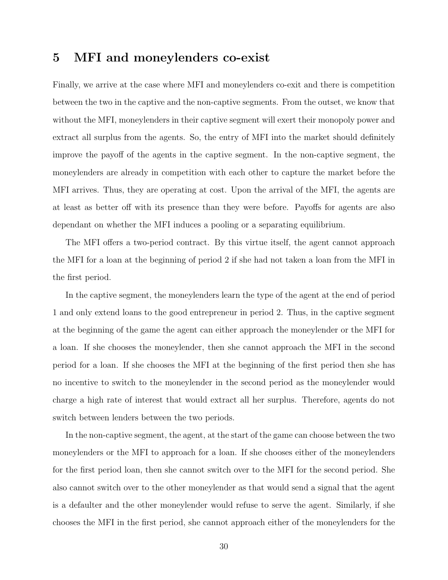# 5 MFI and moneylenders co-exist

Finally, we arrive at the case where MFI and moneylenders co-exit and there is competition between the two in the captive and the non-captive segments. From the outset, we know that without the MFI, moneylenders in their captive segment will exert their monopoly power and extract all surplus from the agents. So, the entry of MFI into the market should definitely improve the payoff of the agents in the captive segment. In the non-captive segment, the moneylenders are already in competition with each other to capture the market before the MFI arrives. Thus, they are operating at cost. Upon the arrival of the MFI, the agents are at least as better off with its presence than they were before. Payoffs for agents are also dependant on whether the MFI induces a pooling or a separating equilibrium.

The MFI offers a two-period contract. By this virtue itself, the agent cannot approach the MFI for a loan at the beginning of period 2 if she had not taken a loan from the MFI in the first period.

In the captive segment, the moneylenders learn the type of the agent at the end of period 1 and only extend loans to the good entrepreneur in period 2. Thus, in the captive segment at the beginning of the game the agent can either approach the moneylender or the MFI for a loan. If she chooses the moneylender, then she cannot approach the MFI in the second period for a loan. If she chooses the MFI at the beginning of the first period then she has no incentive to switch to the moneylender in the second period as the moneylender would charge a high rate of interest that would extract all her surplus. Therefore, agents do not switch between lenders between the two periods.

In the non-captive segment, the agent, at the start of the game can choose between the two moneylenders or the MFI to approach for a loan. If she chooses either of the moneylenders for the first period loan, then she cannot switch over to the MFI for the second period. She also cannot switch over to the other moneylender as that would send a signal that the agent is a defaulter and the other moneylender would refuse to serve the agent. Similarly, if she chooses the MFI in the first period, she cannot approach either of the moneylenders for the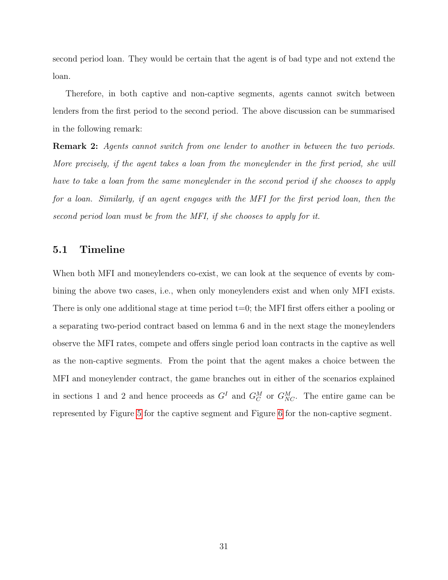second period loan. They would be certain that the agent is of bad type and not extend the loan.

Therefore, in both captive and non-captive segments, agents cannot switch between lenders from the first period to the second period. The above discussion can be summarised in the following remark:

Remark 2: Agents cannot switch from one lender to another in between the two periods. More precisely, if the agent takes a loan from the moneylender in the first period, she will have to take a loan from the same moneylender in the second period if she chooses to apply for a loan. Similarly, if an agent engages with the MFI for the first period loan, then the second period loan must be from the MFI, if she chooses to apply for it.

#### 5.1 Timeline

When both MFI and moneylenders co-exist, we can look at the sequence of events by combining the above two cases, i.e., when only moneylenders exist and when only MFI exists. There is only one additional stage at time period  $t=0$ ; the MFI first offers either a pooling or a separating two-period contract based on lemma 6 and in the next stage the moneylenders observe the MFI rates, compete and offers single period loan contracts in the captive as well as the non-captive segments. From the point that the agent makes a choice between the MFI and moneylender contract, the game branches out in either of the scenarios explained in sections 1 and 2 and hence proceeds as  $G^I$  and  $G^M_C$  or  $G^M_{NC}$ . The entire game can be represented by Figure [5](#page-33-0) for the captive segment and Figure [6](#page-33-1) for the non-captive segment.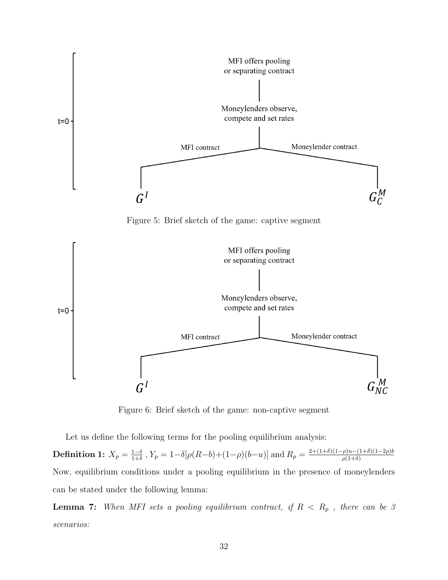<span id="page-33-0"></span>

<span id="page-33-1"></span>Figure 6: Brief sketch of the game: non-captive segment

Let us define the following terms for the pooling equilibrium analysis:

Definition 1:  $X_p = \frac{1-\delta}{1+\delta}$  $\frac{1-\delta}{1+\delta}$ ,  $Y_p = 1 - \delta[\rho(R-b)+(1-\rho)(b-u)]$  and  $R_p = \frac{2+(1+\delta)(1-\rho)u-(1+\delta)(1-2\rho)b}{\rho(1+\delta)}$  $\rho(1+\delta)$ Now, equilibrium conditions under a pooling equilibrium in the presence of moneylenders can be stated under the following lemma:

**Lemma 7:** When MFI sets a pooling equilibrium contract, if  $R < R_p$ , there can be 3 scenarios: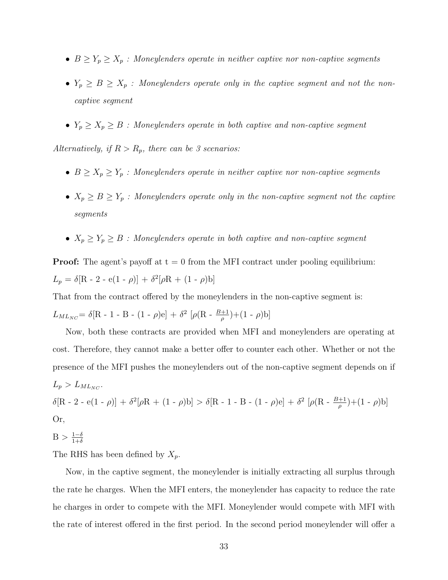- $B \ge Y_p \ge X_p$  : Moneylenders operate in neither captive nor non-captive segments
- $Y_p \geq B \geq X_p$  : Moneylenders operate only in the captive segment and not the noncaptive segment
- $Y_p \geq X_p \geq B$  : Moneylenders operate in both captive and non-captive segment

Alternatively, if  $R > R_p$ , there can be 3 scenarios:

- $B \geq X_p \geq Y_p$  : Moneylenders operate in neither captive nor non-captive segments
- $X_p \geq B \geq Y_p$  : Moneylenders operate only in the non-captive segment not the captive segments
- $X_p \geq Y_p \geq B$  : Moneylenders operate in both captive and non-captive segment

**Proof:** The agent's payoff at  $t = 0$  from the MFI contract under pooling equilibrium:  $L_p = \delta[R - 2 - e(1 - \rho)] + \delta^2[\rho R + (1 - \rho)b]$ 

That from the contract offered by the moneylenders in the non-captive segment is:

 $L_{ML_{NC}} = \delta[R - 1 - B - (1 - \rho)e] + \delta^2 [\rho(R - \frac{B+1}{\rho}) + (1 - \rho)b]$ 

Now, both these contracts are provided when MFI and moneylenders are operating at cost. Therefore, they cannot make a better offer to counter each other. Whether or not the presence of the MFI pushes the moneylenders out of the non-captive segment depends on if  $L_p > L_{ML_{NC}}$ . δ[R - 2 - e(1 - ρ)] + δ<sup>2</sup>[ρR + (1 - ρ)b] > δ[R - 1 - B - (1 - ρ)e] + δ<sup>2</sup> [ρ(R -  $\frac{B+1}{\rho}$ )+(1 - ρ)b] Or,  $B > \frac{1-\delta}{1+\delta}$  $1+\delta$ 

The RHS has been defined by  $X_p$ .

Now, in the captive segment, the moneylender is initially extracting all surplus through the rate he charges. When the MFI enters, the moneylender has capacity to reduce the rate he charges in order to compete with the MFI. Moneylender would compete with MFI with the rate of interest offered in the first period. In the second period moneylender will offer a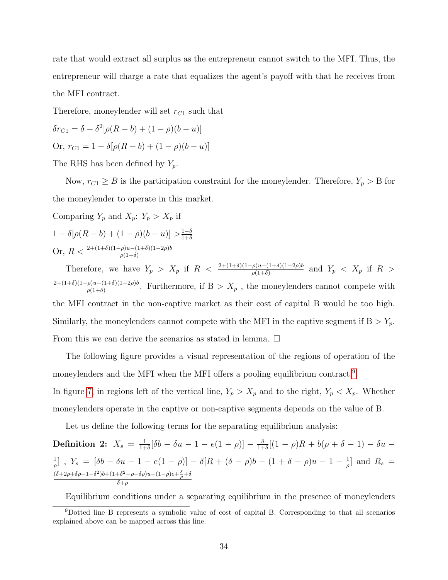rate that would extract all surplus as the entrepreneur cannot switch to the MFI. Thus, the entrepreneur will charge a rate that equalizes the agent's payoff with that he receives from the MFI contract.

Therefore, moneylender will set  $r_{C_1}$  such that

$$
\delta r_{C1} = \delta - \delta^2 [\rho (R - b) + (1 - \rho)(b - u)]
$$
  
Or,  $r_{C1} = 1 - \delta [\rho (R - b) + (1 - \rho)(b - u)]$ 

The RHS has been defined by  $Y_p$ .

Now,  $r_{C1} \geq B$  is the participation constraint for the moneylender. Therefore,  $Y_p > B$  for the moneylender to operate in this market.

Comparing 
$$
Y_p
$$
 and  $X_p$ :  $Y_p > X_p$  if  
\n
$$
1 - \delta[\rho(R - b) + (1 - \rho)(b - u)] > \frac{1 - \delta}{1 + \delta}
$$

Or, 
$$
R < \frac{2+(1+\delta)(1-\rho)u - (1+\delta)(1-2\rho)b}{\rho(1+\delta)}
$$

Therefore, we have  $Y_p > X_p$  if  $R < \frac{2+(1+\delta)(1-\rho)u-(1+\delta)(1-2\rho)b}{\rho(1+\delta)}$  and  $Y_p < X_p$  if  $R >$  $2+(1+\delta)(1-\rho)u-(1+\delta)(1-2\rho)b$  $\frac{\rho u - (1+\delta)(1-2\rho)\theta}{\rho(1+\delta)}$ . Furthermore, if  $B > X_p$ , the moneylenders cannot compete with the MFI contract in the non-captive market as their cost of capital B would be too high. Similarly, the moneylenders cannot compete with the MFI in the captive segment if  $B > Y_p$ . From this we can derive the scenarios as stated in lemma.  $\Box$ 

The following figure provides a visual representation of the regions of operation of the moneylenders and the MFI when the MFI offers a pooling equilibrium contract.[9](#page-35-0) In figure [7,](#page-36-0) in regions left of the vertical line,  $Y_p > X_p$  and to the right,  $Y_p < X_p$ . Whether moneylenders operate in the captive or non-captive segments depends on the value of B.

Let us define the following terms for the separating equilibrium analysis:

**Definition 2:** 
$$
X_s = \frac{1}{1+\delta} [\delta b - \delta u - 1 - e(1-\rho)] - \frac{\delta}{1+\delta} [(1-\rho)R + b(\rho + \delta - 1) - \delta u -
$$
  
\n $\frac{1}{\rho}]$ ,  $Y_s = [\delta b - \delta u - 1 - e(1-\rho)] - \delta[R + (\delta - \rho)b - (1+\delta - \rho)u - 1 - \frac{1}{\rho}]$  and  $R_s =$   
\n $\frac{(\delta + 2\rho + \delta \rho - 1 - \delta^2)b + (1+\delta^2 - \rho - \delta \rho)u - (1-\rho)e + \frac{\delta}{\rho} + \delta}{\delta + \rho}$ 

<span id="page-35-0"></span>Equilibrium conditions under a separating equilibrium in the presence of moneylenders

<sup>9</sup>Dotted line B represents a symbolic value of cost of capital B. Corresponding to that all scenarios explained above can be mapped across this line.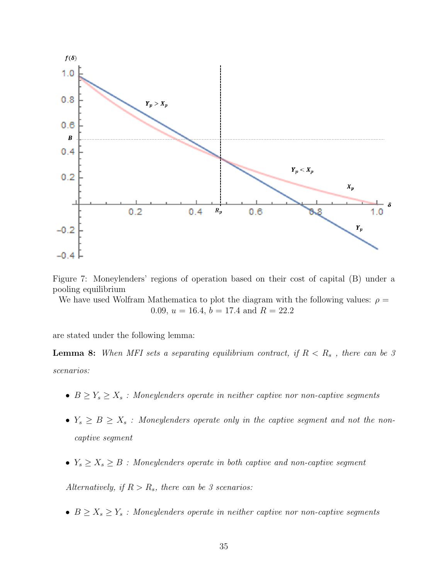<span id="page-36-0"></span>

Figure 7: Moneylenders' regions of operation based on their cost of capital (B) under a pooling equilibrium

We have used Wolfram Mathematica to plot the diagram with the following values:  $\rho =$ 0.09,  $u = 16.4$ ,  $b = 17.4$  and  $R = 22.2$ 

are stated under the following lemma:

**Lemma 8:** When MFI sets a separating equilibrium contract, if  $R < R_s$ , there can be 3 scenarios:

- $B \geq Y_s \geq X_s$  : Moneylenders operate in neither captive nor non-captive segments
- $Y_s \geq B \geq X_s$  : Moneylenders operate only in the captive segment and not the noncaptive segment
- $Y_s \geq X_s \geq B$  : Moneylenders operate in both captive and non-captive segment

Alternatively, if  $R > R_s$ , there can be 3 scenarios:

•  $B \geq X_s \geq Y_s$  : Moneylenders operate in neither captive nor non-captive segments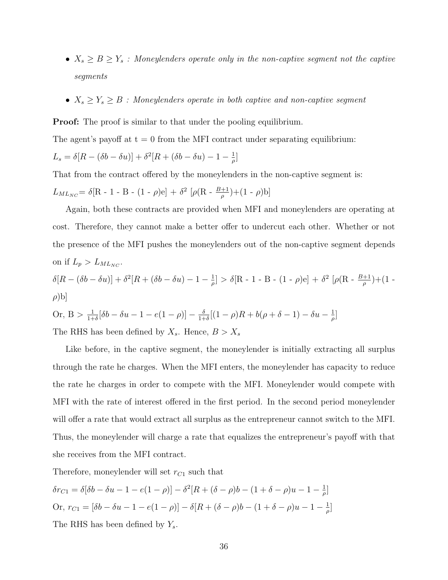- $X_s \geq B \geq Y_s$  : Moneylenders operate only in the non-captive segment not the captive segments
- $X_s \geq Y_s \geq B$  : Moneylenders operate in both captive and non-captive segment

**Proof:** The proof is similar to that under the pooling equilibrium.

The agent's payoff at  $t = 0$  from the MFI contract under separating equilibrium:

$$
L_s = \delta[R - (\delta b - \delta u)] + \delta^2[R + (\delta b - \delta u) - 1 - \frac{1}{\rho}]
$$

That from the contract offered by the moneylenders in the non-captive segment is:

$$
L_{ML_{NC}} = \delta[\mathrm{R}\text{ - }1\text{ - }\mathrm{B}\text{ - }(1\text{ - }\rho)\mathrm{e}] \, + \, \delta^2\,\left[\rho(\mathrm{R}\text{ - }\frac{B+1}{\rho})\!+\!(1\text{ - }\rho)\mathrm{b}\right]
$$

Again, both these contracts are provided when MFI and moneylenders are operating at cost. Therefore, they cannot make a better offer to undercut each other. Whether or not the presence of the MFI pushes the moneylenders out of the non-captive segment depends on if  $L_p > L_{ML_{NC}}$ . 2 1 2

$$
\delta[R - (\delta b - \delta u)] + \delta^2[R + (\delta b - \delta u) - 1 - \frac{1}{\rho}] > \delta[R - 1 - B - (1 - \rho)e] + \delta^2[\rho(R - \frac{B+1}{\rho}) + (1 - \rho)b]
$$

Or, 
$$
B > \frac{1}{1+\delta} [\delta b - \delta u - 1 - e(1-\rho)] - \frac{\delta}{1+\delta} [(1-\rho)R + b(\rho + \delta - 1) - \delta u - \frac{1}{\rho}]
$$

The RHS has been defined by  $X_s$ . Hence,  $B > X_s$ 

Like before, in the captive segment, the moneylender is initially extracting all surplus through the rate he charges. When the MFI enters, the moneylender has capacity to reduce the rate he charges in order to compete with the MFI. Moneylender would compete with MFI with the rate of interest offered in the first period. In the second period moneylender will offer a rate that would extract all surplus as the entrepreneur cannot switch to the MFI. Thus, the moneylender will charge a rate that equalizes the entrepreneur's payoff with that she receives from the MFI contract.

Therefore, moneylender will set  $r_{C1}$  such that

$$
\delta r_{C1} = \delta[\delta b - \delta u - 1 - e(1 - \rho)] - \delta^2 [R + (\delta - \rho)b - (1 + \delta - \rho)u - 1 - \frac{1}{\rho}]
$$
  
Or,  $r_{C1} = [\delta b - \delta u - 1 - e(1 - \rho)] - \delta[R + (\delta - \rho)b - (1 + \delta - \rho)u - 1 - \frac{1}{\rho}]$   
The RHS has been defined by  $Y_s$ .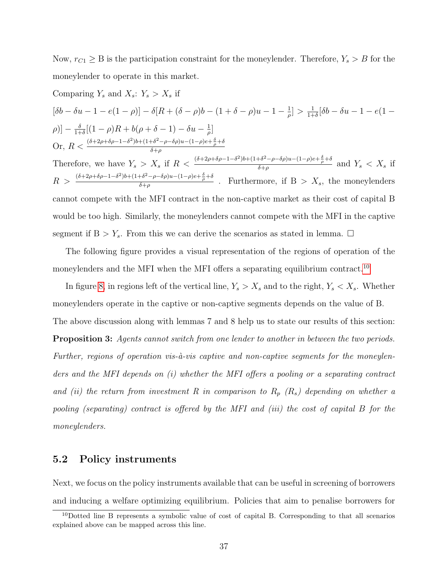Now,  $r_{C1} \geq B$  is the participation constraint for the moneylender. Therefore,  $Y_s > B$  for the moneylender to operate in this market.

Comparing 
$$
Y_s
$$
 and  $X_s$ :  $Y_s > X_s$  if  
\n
$$
[\delta b - \delta u - 1 - e(1 - \rho)] - \delta[R + (\delta - \rho)b - (1 + \delta - \rho)u - 1 - \frac{1}{\rho}] > \frac{1}{1+\delta}[\delta b - \delta u - 1 - e(1 - \rho)] - \frac{\delta}{1+\delta}[(1 - \rho)R + b(\rho + \delta - 1) - \delta u - \frac{1}{\rho}]
$$
\nOr,  $R < \frac{(\delta + 2\rho + \delta\rho - 1 - \delta^2)b + (1 + \delta^2 - \rho - \delta\rho)u - (1 - \rho)e + \frac{\delta}{\rho} + \delta}{\delta + \rho}$   
\nTherefore, we have  $Y_s > X_s$  if  $R < \frac{(\delta + 2\rho + \delta\rho - 1 - \delta^2)b + (1 + \delta^2 - \rho - \delta\rho)u - (1 - \rho)e + \frac{\delta}{\rho} + \delta}{\delta + \rho}$  and  $Y_s < X_s$  if  $R > \frac{(\delta + 2\rho + \delta\rho - 1 - \delta^2)b + (1 + \delta^2 - \rho - \delta\rho)u - (1 - \rho)e + \frac{\delta}{\rho} + \delta}{\delta + \rho}$ . Furthermore, if  $B > X_s$ , the moneylenders cannot compete with the MFI contract in the non-captive market as their cost of capital B would be too high. Similarly, the moneylenders cannot compete with the MFI in the capture segment if  $B > Y_s$ . From this we can derive the scenarios as stated in lemma.  $\Box$ 

The following figure provides a visual representation of the regions of operation of the moneylenders and the MFI when the MFI offers a separating equilibrium contract.<sup>[10](#page-38-0)</sup>

In figure [8,](#page-39-0) in regions left of the vertical line,  $Y_s > X_s$  and to the right,  $Y_s < X_s$ . Whether moneylenders operate in the captive or non-captive segments depends on the value of B. The above discussion along with lemmas 7 and 8 help us to state our results of this section: Proposition 3: Agents cannot switch from one lender to another in between the two periods. Further, regions of operation vis- $\dot{a}$ -vis captive and non-captive segments for the moneylenders and the MFI depends on (i) whether the MFI offers a pooling or a separating contract and (ii) the return from investment R in comparison to  $R_p$  ( $R_s$ ) depending on whether a pooling (separating) contract is offered by the MFI and (iii) the cost of capital B for the moneylenders.

#### 5.2 Policy instruments

Next, we focus on the policy instruments available that can be useful in screening of borrowers and inducing a welfare optimizing equilibrium. Policies that aim to penalise borrowers for

<span id="page-38-0"></span><sup>10</sup>Dotted line B represents a symbolic value of cost of capital B. Corresponding to that all scenarios explained above can be mapped across this line.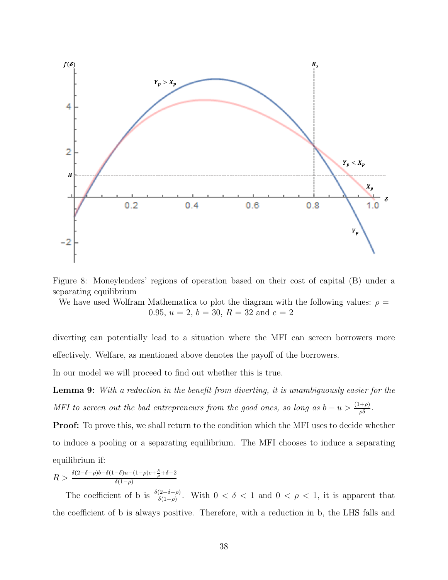<span id="page-39-0"></span>

Figure 8: Moneylenders' regions of operation based on their cost of capital (B) under a separating equilibrium

We have used Wolfram Mathematica to plot the diagram with the following values:  $\rho =$ 0.95,  $u = 2$ ,  $b = 30$ ,  $R = 32$  and  $e = 2$ 

diverting can potentially lead to a situation where the MFI can screen borrowers more effectively. Welfare, as mentioned above denotes the payoff of the borrowers.

In our model we will proceed to find out whether this is true.

**Lemma 9:** With a reduction in the benefit from diverting, it is unambiguously easier for the MFI to screen out the bad entrepreneurs from the good ones, so long as  $b - u > \frac{(1+\rho)}{\rho \delta}$ .

Proof: To prove this, we shall return to the condition which the MFI uses to decide whether to induce a pooling or a separating equilibrium. The MFI chooses to induce a separating equilibrium if:

$$
R>\tfrac{\delta (2-\delta-\rho)b-\delta(1-\delta)u-(1-\rho)e+\frac{\delta}{\rho}+\delta-2}{\delta(1-\rho)}
$$

The coefficient of b is  $\frac{\delta(2-\delta-\rho)}{\delta(1-\rho)}$ . With  $0 < \delta < 1$  and  $0 < \rho < 1$ , it is apparent that the coefficient of b is always positive. Therefore, with a reduction in b, the LHS falls and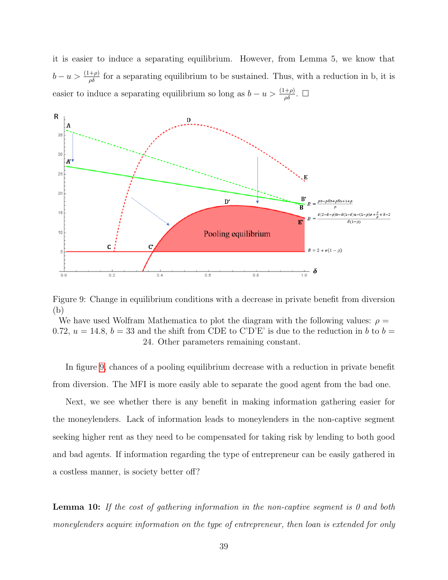it is easier to induce a separating equilibrium. However, from Lemma 5, we know that  $b - u > \frac{(1+\rho)}{\rho \delta}$  for a separating equilibrium to be sustained. Thus, with a reduction in b, it is easier to induce a separating equilibrium so long as  $b - u > \frac{(1+\rho)}{\rho \delta}$ .  $\Box$ 

<span id="page-40-0"></span>

Figure 9: Change in equilibrium conditions with a decrease in private benefit from diversion (b)

We have used Wolfram Mathematica to plot the diagram with the following values:  $\rho =$ 0.72,  $u = 14.8$ ,  $b = 33$  and the shift from CDE to C'D'E' is due to the reduction in b to  $b =$ 24. Other parameters remaining constant.

In figure [9,](#page-40-0) chances of a pooling equilibrium decrease with a reduction in private benefit from diversion. The MFI is more easily able to separate the good agent from the bad one.

Next, we see whether there is any benefit in making information gathering easier for the moneylenders. Lack of information leads to moneylenders in the non-captive segment seeking higher rent as they need to be compensated for taking risk by lending to both good and bad agents. If information regarding the type of entrepreneur can be easily gathered in a costless manner, is society better off?

**Lemma 10:** If the cost of gathering information in the non-captive segment is 0 and both moneylenders acquire information on the type of entrepreneur, then loan is extended for only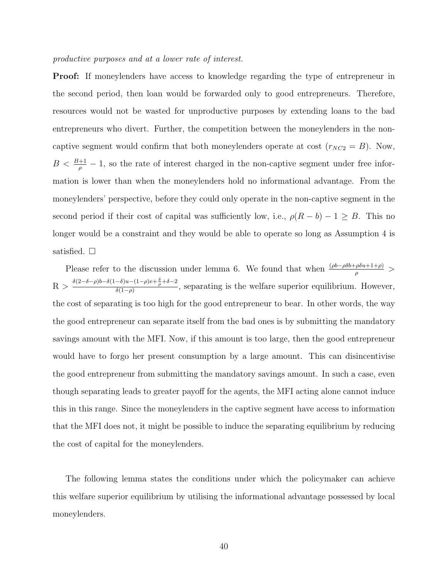#### productive purposes and at a lower rate of interest.

Proof: If moneylenders have access to knowledge regarding the type of entrepreneur in the second period, then loan would be forwarded only to good entrepreneurs. Therefore, resources would not be wasted for unproductive purposes by extending loans to the bad entrepreneurs who divert. Further, the competition between the moneylenders in the noncaptive segment would confirm that both moneylenders operate at cost  $(r_{NC2} = B)$ . Now,  $B < \frac{B+1}{\rho} - 1$ , so the rate of interest charged in the non-captive segment under free information is lower than when the moneylenders hold no informational advantage. From the moneylenders' perspective, before they could only operate in the non-captive segment in the second period if their cost of capital was sufficiently low, i.e.,  $\rho(R - b) - 1 \geq B$ . This no longer would be a constraint and they would be able to operate so long as Assumption 4 is satisfied.  $\square$ 

Please refer to the discussion under lemma 6. We found that when  $\frac{(\rho b - \rho \delta b + \rho \delta u + 1 + \rho)}{\rho}$  $R > \frac{\delta(2-\delta-\rho)b-\delta(1-\delta)u-(1-\rho)e+\frac{\delta}{\rho}+\delta-2}{\delta(1-\rho)}$  $\frac{\delta(1-\rho)}{\delta(1-\rho)}$ , separating is the welfare superior equilibrium. However, the cost of separating is too high for the good entrepreneur to bear. In other words, the way the good entrepreneur can separate itself from the bad ones is by submitting the mandatory savings amount with the MFI. Now, if this amount is too large, then the good entrepreneur would have to forgo her present consumption by a large amount. This can disincentivise the good entrepreneur from submitting the mandatory savings amount. In such a case, even though separating leads to greater payoff for the agents, the MFI acting alone cannot induce this in this range. Since the moneylenders in the captive segment have access to information that the MFI does not, it might be possible to induce the separating equilibrium by reducing the cost of capital for the moneylenders.

The following lemma states the conditions under which the policymaker can achieve this welfare superior equilibrium by utilising the informational advantage possessed by local moneylenders.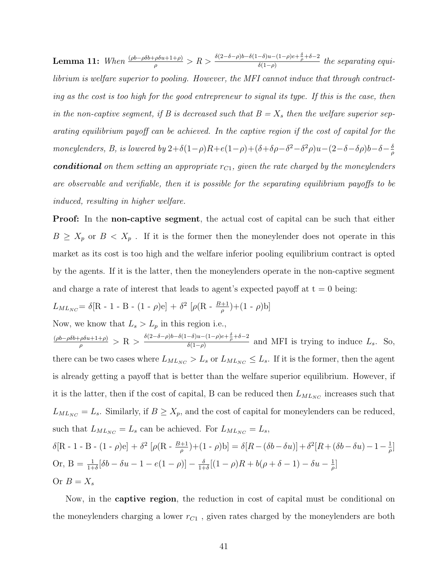**Lemma 11:** When  $\frac{(\rho b - \rho \delta b + \rho \delta u + 1 + \rho)}{\rho} > R > \frac{\delta(2-\delta-\rho)b - \delta(1-\delta)u - (1-\rho)e + \frac{\delta}{\rho} + \delta - 2}{\delta(1-\rho)}$  $\frac{\delta(u-\mu)e+\rho+\sigma-2}{\delta(1-\rho)}$  the separating equilibrium is welfare superior to pooling. However, the MFI cannot induce that through contracting as the cost is too high for the good entrepreneur to signal its type. If this is the case, then in the non-captive segment, if B is decreased such that  $B = X_s$  then the welfare superior separating equilibrium payoff can be achieved. In the captive region if the cost of capital for the moneylenders, B, is lowered by  $2+\delta(1-\rho)R+e(1-\rho)+(\delta+\delta\rho-\delta^2-\delta^2\rho)u-(2-\delta-\delta\rho)b-\delta-\frac{\delta}{\delta}$ ρ **conditional** on them setting an appropriate  $r_{C1}$ , given the rate charged by the moneylenders are observable and verifiable, then it is possible for the separating equilibrium payoffs to be induced, resulting in higher welfare.

Proof: In the non-captive segment, the actual cost of capital can be such that either  $B \geq X_p$  or  $B < X_p$ . If it is the former then the moneylender does not operate in this market as its cost is too high and the welfare inferior pooling equilibrium contract is opted by the agents. If it is the latter, then the moneylenders operate in the non-captive segment and charge a rate of interest that leads to agent's expected payoff at  $t = 0$  being:

$$
L_{ML_{NC}} = \delta[R - 1 - B - (1 - \rho)e] + \delta^2 [\rho(R - \frac{B+1}{\rho}) + (1 - \rho)b]
$$

Now, we know that  $L_s > L_p$  in this region i.e.,

(ρb−ρδb+ρδu+1+ρ)  $\frac{\rho \delta u + 1 + \rho)}{\rho} > R > \frac{\delta (2 - \delta - \rho) b - \delta (1 - \delta) u - (1 - \rho) e + \frac{\delta}{\rho} + \delta - 2}{\delta (1 - \rho)}$  $\frac{\delta(a-1)}{\delta(1-\rho)}$  and MFI is trying to induce  $L_s$ . So, there can be two cases where  $L_{ML_{NC}} > L_s$  or  $L_{ML_{NC}} \leq L_s$ . If it is the former, then the agent is already getting a payoff that is better than the welfare superior equilibrium. However, if it is the latter, then if the cost of capital, B can be reduced then  $L_{ML_{NC}}$  increases such that  $L_{ML_{NC}} = L_s$ . Similarly, if  $B \ge X_p$ , and the cost of capital for moneylenders can be reduced, such that  $L_{ML_{NC}} = L_s$  can be achieved. For  $L_{ML_{NC}} = L_s$ , δ[R - 1 - B - (1 - ρ)e] + δ<sup>2</sup> [ρ(R -  $\frac{B+1}{\rho}$ )+(1 - ρ)b] = δ[R – (δb – δu)] + δ<sup>2</sup>[R + (δb – δu) – 1 –  $\frac{1}{\rho}$  $\frac{1}{\rho}$ ] Or, B =  $\frac{1}{1+\delta}[\delta b - \delta u - 1 - e(1-\rho)] - \frac{\delta}{1+\delta}$  $\frac{\delta}{1+\delta}[(1-\rho)R+b(\rho+\delta-1)-\delta u-\frac{1}{\rho}]$  $\frac{1}{\rho}$ ]

Or  $B=X_s$ 

Now, in the captive region, the reduction in cost of capital must be conditional on the moneylenders charging a lower  $r_{C1}$ , given rates charged by the moneylenders are both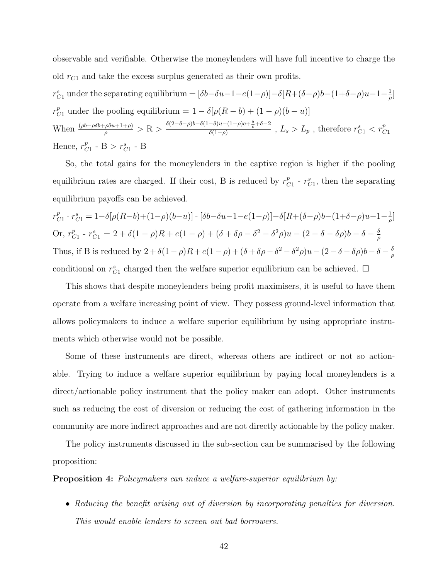observable and verifiable. Otherwise the moneylenders will have full incentive to charge the old  $r_{C1}$  and take the excess surplus generated as their own profits.

 $r_{C1}^s$  under the separating equilibrium =  $[\delta b-\delta u-1-e(1-\rho)]-\delta[R+(\delta-\rho)b-(1+\delta-\rho)u-1-\frac{1}{\rho}$  $\frac{1}{\rho}$ ]  $r_{C1}^p$  under the pooling equilibrium =  $1 - \delta[\rho(R - b) + (1 - \rho)(b - u)]$ When  $\frac{(\rho b - \rho \delta b + \rho \delta u + 1 + \rho)}{\rho} > R > \frac{\delta(2-\delta-\rho)b - \delta(1-\delta)u - (1-\rho)e + \frac{\delta}{\rho} + \delta - 2}{\delta(1-\rho)}$  $\frac{-\delta)u-(1-\rho)e+\frac{\omega}{\rho}+\delta-2}{\delta(1-\rho)}$  ,  $L_s>L_p$  , therefore  $r_{C1}^s < r_{C1}^p$ Hence,  $r_c^p$  $_{C1}^{p}$  - B >  $r_{C1}^{s}$  - B

So, the total gains for the moneylenders in the captive region is higher if the pooling equilibrium rates are charged. If their cost, B is reduced by  $r_c^p$  $_{C1}^{p}$  -  $r_{C1}^{s}$ , then the separating equilibrium payoffs can be achieved.

 $r_C^p$  $C_1^p - r_{C1}^s = 1 - \delta[\rho(R-b)+(1-\rho)(b-u)] - [\delta b - \delta u - 1 - e(1-\rho)] - \delta[R+(\delta-\rho)b-(1+\delta-\rho)u - 1 - \frac{1}{\rho}$  $\frac{1}{\rho}$ ] Or,  $r_c^p$  $C_1^p - r_{C1}^s = 2 + \delta(1 - \rho)R + e(1 - \rho) + (\delta + \delta\rho - \delta^2 - \delta^2\rho)u - (2 - \delta - \delta\rho)b - \delta - \frac{\delta}{\rho}$ ρ Thus, if B is reduced by  $2 + \delta(1-\rho)R + e(1-\rho) + (\delta + \delta\rho - \delta^2 - \delta^2\rho)u - (2-\delta - \delta\rho)b - \delta - \frac{\delta}{\sigma}$ ρ conditional on  $r_{C_1}^s$  charged then the welfare superior equilibrium can be achieved.  $\Box$ 

This shows that despite moneylenders being profit maximisers, it is useful to have them operate from a welfare increasing point of view. They possess ground-level information that allows policymakers to induce a welfare superior equilibrium by using appropriate instruments which otherwise would not be possible.

Some of these instruments are direct, whereas others are indirect or not so actionable. Trying to induce a welfare superior equilibrium by paying local moneylenders is a direct/actionable policy instrument that the policy maker can adopt. Other instruments such as reducing the cost of diversion or reducing the cost of gathering information in the community are more indirect approaches and are not directly actionable by the policy maker.

The policy instruments discussed in the sub-section can be summarised by the following proposition:

Proposition 4: Policymakers can induce a welfare-superior equilibrium by:

• Reducing the benefit arising out of diversion by incorporating penalties for diversion. This would enable lenders to screen out bad borrowers.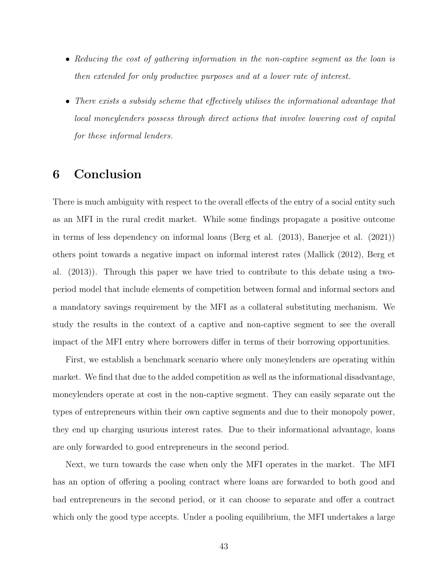- Reducing the cost of gathering information in the non-captive segment as the loan is then extended for only productive purposes and at a lower rate of interest.
- There exists a subsidy scheme that effectively utilises the informational advantage that local moneylenders possess through direct actions that involve lowering cost of capital for these informal lenders.

# 6 Conclusion

There is much ambiguity with respect to the overall effects of the entry of a social entity such as an MFI in the rural credit market. While some findings propagate a positive outcome in terms of less dependency on informal loans (Berg et al. (2013), Banerjee et al. (2021)) others point towards a negative impact on informal interest rates (Mallick (2012), Berg et al. (2013)). Through this paper we have tried to contribute to this debate using a twoperiod model that include elements of competition between formal and informal sectors and a mandatory savings requirement by the MFI as a collateral substituting mechanism. We study the results in the context of a captive and non-captive segment to see the overall impact of the MFI entry where borrowers differ in terms of their borrowing opportunities.

First, we establish a benchmark scenario where only moneylenders are operating within market. We find that due to the added competition as well as the informational disadvantage, moneylenders operate at cost in the non-captive segment. They can easily separate out the types of entrepreneurs within their own captive segments and due to their monopoly power, they end up charging usurious interest rates. Due to their informational advantage, loans are only forwarded to good entrepreneurs in the second period.

Next, we turn towards the case when only the MFI operates in the market. The MFI has an option of offering a pooling contract where loans are forwarded to both good and bad entrepreneurs in the second period, or it can choose to separate and offer a contract which only the good type accepts. Under a pooling equilibrium, the MFI undertakes a large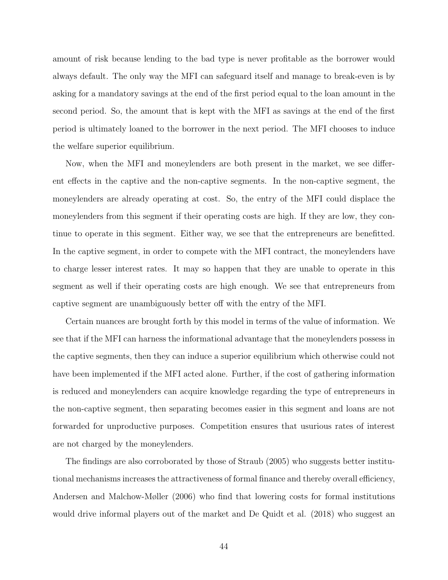amount of risk because lending to the bad type is never profitable as the borrower would always default. The only way the MFI can safeguard itself and manage to break-even is by asking for a mandatory savings at the end of the first period equal to the loan amount in the second period. So, the amount that is kept with the MFI as savings at the end of the first period is ultimately loaned to the borrower in the next period. The MFI chooses to induce the welfare superior equilibrium.

Now, when the MFI and moneylenders are both present in the market, we see different effects in the captive and the non-captive segments. In the non-captive segment, the moneylenders are already operating at cost. So, the entry of the MFI could displace the moneylenders from this segment if their operating costs are high. If they are low, they continue to operate in this segment. Either way, we see that the entrepreneurs are benefitted. In the captive segment, in order to compete with the MFI contract, the moneylenders have to charge lesser interest rates. It may so happen that they are unable to operate in this segment as well if their operating costs are high enough. We see that entrepreneurs from captive segment are unambiguously better off with the entry of the MFI.

Certain nuances are brought forth by this model in terms of the value of information. We see that if the MFI can harness the informational advantage that the moneylenders possess in the captive segments, then they can induce a superior equilibrium which otherwise could not have been implemented if the MFI acted alone. Further, if the cost of gathering information is reduced and moneylenders can acquire knowledge regarding the type of entrepreneurs in the non-captive segment, then separating becomes easier in this segment and loans are not forwarded for unproductive purposes. Competition ensures that usurious rates of interest are not charged by the moneylenders.

The findings are also corroborated by those of Straub (2005) who suggests better institutional mechanisms increases the attractiveness of formal finance and thereby overall efficiency, Andersen and Malchow-Møller (2006) who find that lowering costs for formal institutions would drive informal players out of the market and De Quidt et al. (2018) who suggest an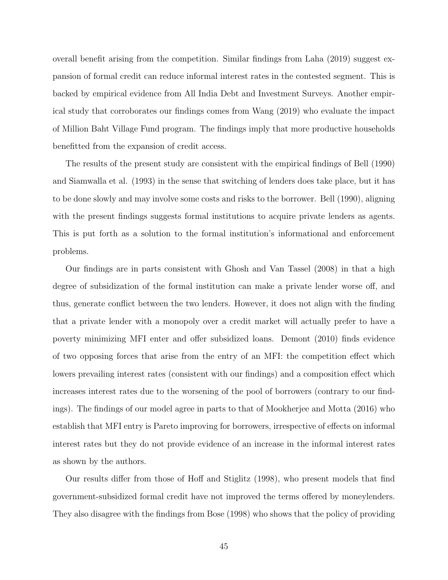overall benefit arising from the competition. Similar findings from Laha (2019) suggest expansion of formal credit can reduce informal interest rates in the contested segment. This is backed by empirical evidence from All India Debt and Investment Surveys. Another empirical study that corroborates our findings comes from Wang (2019) who evaluate the impact of Million Baht Village Fund program. The findings imply that more productive households benefitted from the expansion of credit access.

The results of the present study are consistent with the empirical findings of Bell (1990) and Siamwalla et al. (1993) in the sense that switching of lenders does take place, but it has to be done slowly and may involve some costs and risks to the borrower. Bell (1990), aligning with the present findings suggests formal institutions to acquire private lenders as agents. This is put forth as a solution to the formal institution's informational and enforcement problems.

Our findings are in parts consistent with Ghosh and Van Tassel (2008) in that a high degree of subsidization of the formal institution can make a private lender worse off, and thus, generate conflict between the two lenders. However, it does not align with the finding that a private lender with a monopoly over a credit market will actually prefer to have a poverty minimizing MFI enter and offer subsidized loans. Demont (2010) finds evidence of two opposing forces that arise from the entry of an MFI: the competition effect which lowers prevailing interest rates (consistent with our findings) and a composition effect which increases interest rates due to the worsening of the pool of borrowers (contrary to our findings). The findings of our model agree in parts to that of Mookherjee and Motta (2016) who establish that MFI entry is Pareto improving for borrowers, irrespective of effects on informal interest rates but they do not provide evidence of an increase in the informal interest rates as shown by the authors.

Our results differ from those of Hoff and Stiglitz (1998), who present models that find government-subsidized formal credit have not improved the terms offered by moneylenders. They also disagree with the findings from Bose (1998) who shows that the policy of providing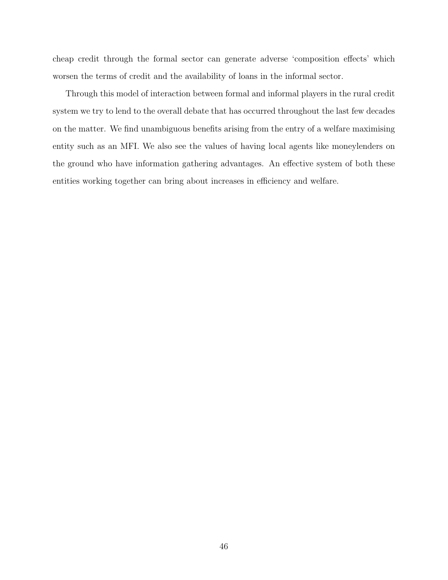cheap credit through the formal sector can generate adverse 'composition effects' which worsen the terms of credit and the availability of loans in the informal sector.

Through this model of interaction between formal and informal players in the rural credit system we try to lend to the overall debate that has occurred throughout the last few decades on the matter. We find unambiguous benefits arising from the entry of a welfare maximising entity such as an MFI. We also see the values of having local agents like moneylenders on the ground who have information gathering advantages. An effective system of both these entities working together can bring about increases in efficiency and welfare.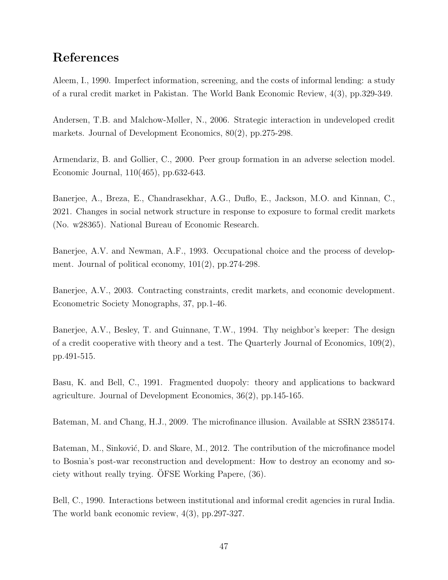# References

Aleem, I., 1990. Imperfect information, screening, and the costs of informal lending: a study of a rural credit market in Pakistan. The World Bank Economic Review, 4(3), pp.329-349.

Andersen, T.B. and Malchow-Møller, N., 2006. Strategic interaction in undeveloped credit markets. Journal of Development Economics, 80(2), pp.275-298.

Armendariz, B. and Gollier, C., 2000. Peer group formation in an adverse selection model. Economic Journal, 110(465), pp.632-643.

Banerjee, A., Breza, E., Chandrasekhar, A.G., Duflo, E., Jackson, M.O. and Kinnan, C., 2021. Changes in social network structure in response to exposure to formal credit markets (No. w28365). National Bureau of Economic Research.

Banerjee, A.V. and Newman, A.F., 1993. Occupational choice and the process of development. Journal of political economy, 101(2), pp.274-298.

Banerjee, A.V., 2003. Contracting constraints, credit markets, and economic development. Econometric Society Monographs, 37, pp.1-46.

Banerjee, A.V., Besley, T. and Guinnane, T.W., 1994. Thy neighbor's keeper: The design of a credit cooperative with theory and a test. The Quarterly Journal of Economics,  $109(2)$ , pp.491-515.

Basu, K. and Bell, C., 1991. Fragmented duopoly: theory and applications to backward agriculture. Journal of Development Economics, 36(2), pp.145-165.

Bateman, M. and Chang, H.J., 2009. The microfinance illusion. Available at SSRN 2385174.

Bateman, M., Sinković, D. and Skare, M., 2012. The contribution of the microfinance model to Bosnia's post-war reconstruction and development: How to destroy an economy and society without really trying. OFSE Working Papere,  $(36)$ .

Bell, C., 1990. Interactions between institutional and informal credit agencies in rural India. The world bank economic review, 4(3), pp.297-327.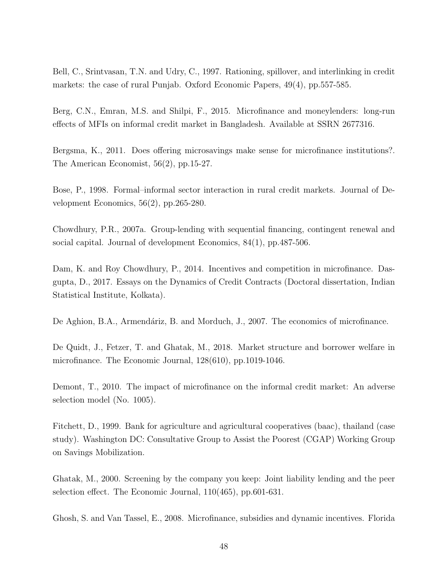Bell, C., Srintvasan, T.N. and Udry, C., 1997. Rationing, spillover, and interlinking in credit markets: the case of rural Punjab. Oxford Economic Papers, 49(4), pp.557-585.

Berg, C.N., Emran, M.S. and Shilpi, F., 2015. Microfinance and moneylenders: long-run effects of MFIs on informal credit market in Bangladesh. Available at SSRN 2677316.

Bergsma, K., 2011. Does offering microsavings make sense for microfinance institutions?. The American Economist, 56(2), pp.15-27.

Bose, P., 1998. Formal–informal sector interaction in rural credit markets. Journal of Development Economics, 56(2), pp.265-280.

Chowdhury, P.R., 2007a. Group-lending with sequential financing, contingent renewal and social capital. Journal of development Economics, 84(1), pp.487-506.

Dam, K. and Roy Chowdhury, P., 2014. Incentives and competition in microfinance. Dasgupta, D., 2017. Essays on the Dynamics of Credit Contracts (Doctoral dissertation, Indian Statistical Institute, Kolkata).

De Aghion, B.A., Armendáriz, B. and Morduch, J., 2007. The economics of microfinance.

De Quidt, J., Fetzer, T. and Ghatak, M., 2018. Market structure and borrower welfare in microfinance. The Economic Journal, 128(610), pp.1019-1046.

Demont, T., 2010. The impact of microfinance on the informal credit market: An adverse selection model (No. 1005).

Fitchett, D., 1999. Bank for agriculture and agricultural cooperatives (baac), thailand (case study). Washington DC: Consultative Group to Assist the Poorest (CGAP) Working Group on Savings Mobilization.

Ghatak, M., 2000. Screening by the company you keep: Joint liability lending and the peer selection effect. The Economic Journal, 110(465), pp.601-631.

Ghosh, S. and Van Tassel, E., 2008. Microfinance, subsidies and dynamic incentives. Florida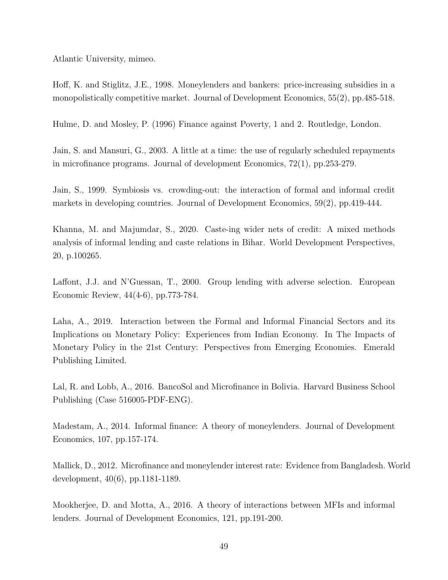Atlantic University, mimeo.

Hoff, K. and Stiglitz, J.E., 1998. Moneylenders and bankers: price-increasing subsidies in a monopolistically competitive market. Journal of Development Economics, 55(2), pp.485-518.

Hulme, D. and Mosley, P. (1996) Finance against Poverty, 1 and 2. Routledge, London.

Jain, S. and Mansuri, G., 2003. A little at a time: the use of regularly scheduled repayments in microfinance programs. Journal of development Economics, 72(1), pp.253-279.

Jain, S., 1999. Symbiosis vs. crowding-out: the interaction of formal and informal credit markets in developing countries. Journal of Development Economics, 59(2), pp.419-444.

Khanna, M. and Majumdar, S., 2020. Caste-ing wider nets of credit: A mixed methods analysis of informal lending and caste relations in Bihar. World Development Perspectives, 20, p.100265.

Laffont, J.J. and N'Guessan, T., 2000. Group lending with adverse selection. European Economic Review, 44(4-6), pp.773-784.

Laha, A., 2019. Interaction between the Formal and Informal Financial Sectors and its Implications on Monetary Policy: Experiences from Indian Economy. In The Impacts of Monetary Policy in the 21st Century: Perspectives from Emerging Economies. Emerald Publishing Limited.

Lal, R. and Lobb, A., 2016. BancoSol and Microfinance in Bolivia. Harvard Business School Publishing (Case 516005-PDF-ENG).

Madestam, A., 2014. Informal finance: A theory of moneylenders. Journal of Development Economics, 107, pp.157-174.

Mallick, D., 2012. Microfinance and moneylender interest rate: Evidence from Bangladesh. World development, 40(6), pp.1181-1189.

Mookherjee, D. and Motta, A., 2016. A theory of interactions between MFIs and informal lenders. Journal of Development Economics, 121, pp.191-200.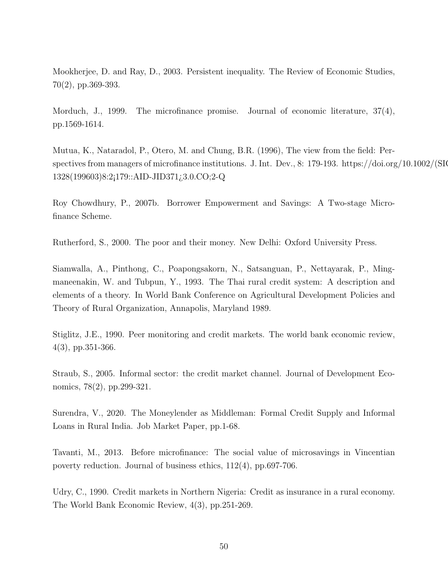Mookherjee, D. and Ray, D., 2003. Persistent inequality. The Review of Economic Studies, 70(2), pp.369-393.

Morduch, J., 1999. The microfinance promise. Journal of economic literature, 37(4), pp.1569-1614.

Mutua, K., Nataradol, P., Otero, M. and Chung, B.R. (1996), The view from the field: Perspectives from managers of microfinance institutions. J. Int. Dev., 8: 179-193. https://doi.org/10.1002/(SIC 1328(199603)8:2¡179::AID-JID371¿3.0.CO;2-Q

Roy Chowdhury, P., 2007b. Borrower Empowerment and Savings: A Two-stage Microfinance Scheme.

Rutherford, S., 2000. The poor and their money. New Delhi: Oxford University Press.

Siamwalla, A., Pinthong, C., Poapongsakorn, N., Satsanguan, P., Nettayarak, P., Mingmaneenakin, W. and Tubpun, Y., 1993. The Thai rural credit system: A description and elements of a theory. In World Bank Conference on Agricultural Development Policies and Theory of Rural Organization, Annapolis, Maryland 1989.

Stiglitz, J.E., 1990. Peer monitoring and credit markets. The world bank economic review, 4(3), pp.351-366.

Straub, S., 2005. Informal sector: the credit market channel. Journal of Development Economics, 78(2), pp.299-321.

Surendra, V., 2020. The Moneylender as Middleman: Formal Credit Supply and Informal Loans in Rural India. Job Market Paper, pp.1-68.

Tavanti, M., 2013. Before microfinance: The social value of microsavings in Vincentian poverty reduction. Journal of business ethics, 112(4), pp.697-706.

Udry, C., 1990. Credit markets in Northern Nigeria: Credit as insurance in a rural economy. The World Bank Economic Review, 4(3), pp.251-269.